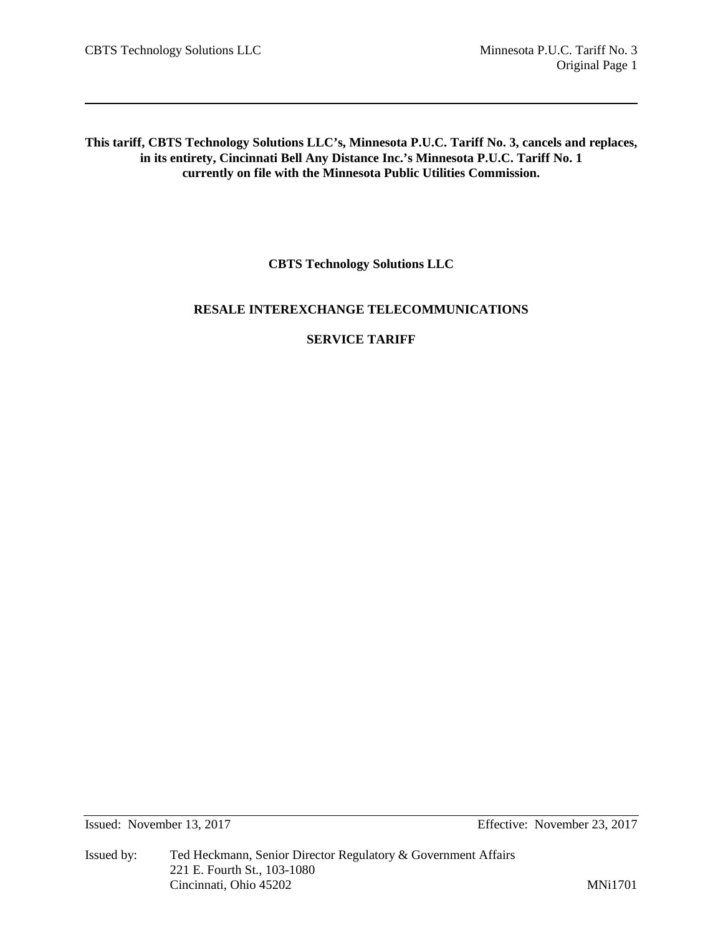**This tariff, CBTS Technology Solutions LLC's, Minnesota P.U.C. Tariff No. 3, cancels and replaces, in its entirety, Cincinnati Bell Any Distance Inc.'s Minnesota P.U.C. Tariff No. 1 currently on file with the Minnesota Public Utilities Commission.**

**CBTS Technology Solutions LLC**

# **RESALE INTEREXCHANGE TELECOMMUNICATIONS**

# **SERVICE TARIFF**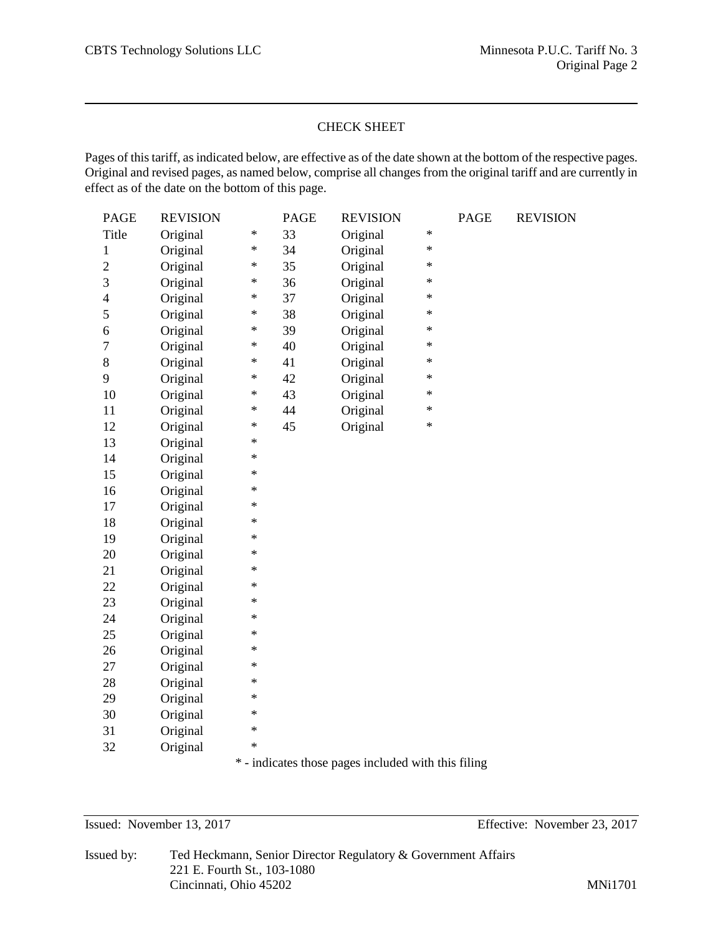# CHECK SHEET

Pages of this tariff, as indicated below, are effective as of the date shown at the bottom of the respective pages. Original and revised pages, as named below, comprise all changes from the original tariff and are currently in effect as of the date on the bottom of this page.

| <b>PAGE</b>      | <b>REVISION</b> |        | <b>PAGE</b> | <b>REVISION</b> |        | <b>PAGE</b> | <b>REVISION</b> |
|------------------|-----------------|--------|-------------|-----------------|--------|-------------|-----------------|
| Title            | Original        | $\ast$ | 33          | Original        | $\ast$ |             |                 |
| $\mathbf{1}$     | Original        | $\ast$ | 34          | Original        | $\ast$ |             |                 |
| $\overline{c}$   | Original        | $\ast$ | 35          | Original        | $\ast$ |             |                 |
| $\mathfrak{Z}$   | Original        | $\ast$ | 36          | Original        | $\ast$ |             |                 |
| $\overline{4}$   | Original        | $\ast$ | 37          | Original        | $\ast$ |             |                 |
| 5                | Original        | $\ast$ | 38          | Original        | $\ast$ |             |                 |
| 6                | Original        | $\ast$ | 39          | Original        | $\ast$ |             |                 |
| $\boldsymbol{7}$ | Original        | $\ast$ | 40          | Original        | $\ast$ |             |                 |
| $8\,$            | Original        | $\ast$ | 41          | Original        | $\ast$ |             |                 |
| 9                | Original        | $\ast$ | 42          | Original        | $\ast$ |             |                 |
| 10               | Original        | $\ast$ | 43          | Original        | $\ast$ |             |                 |
| 11               | Original        | $\ast$ | 44          | Original        | $\ast$ |             |                 |
| 12               | Original        | $\ast$ | 45          | Original        | $\ast$ |             |                 |
| 13               | Original        | $\ast$ |             |                 |        |             |                 |
| 14               | Original        | $\ast$ |             |                 |        |             |                 |
| 15               | Original        | $\ast$ |             |                 |        |             |                 |
| 16               | Original        | $\ast$ |             |                 |        |             |                 |
| 17               | Original        | $\ast$ |             |                 |        |             |                 |
| 18               | Original        | $\ast$ |             |                 |        |             |                 |
| 19               | Original        | $\ast$ |             |                 |        |             |                 |
| 20               | Original        | $\ast$ |             |                 |        |             |                 |
| 21               | Original        | $\ast$ |             |                 |        |             |                 |
| 22               | Original        | $\ast$ |             |                 |        |             |                 |
| 23               | Original        | $\ast$ |             |                 |        |             |                 |
| 24               | Original        | $\ast$ |             |                 |        |             |                 |
| 25               | Original        | $\ast$ |             |                 |        |             |                 |
| 26               | Original        | $\ast$ |             |                 |        |             |                 |
| 27               | Original        | $\ast$ |             |                 |        |             |                 |
| 28               | Original        | $\ast$ |             |                 |        |             |                 |
| 29               | Original        | $\ast$ |             |                 |        |             |                 |
| 30               | Original        | $\ast$ |             |                 |        |             |                 |
| 31               | Original        | $\ast$ |             |                 |        |             |                 |
| 32               | Original        | $\ast$ |             |                 |        |             |                 |

\* - indicates those pages included with this filing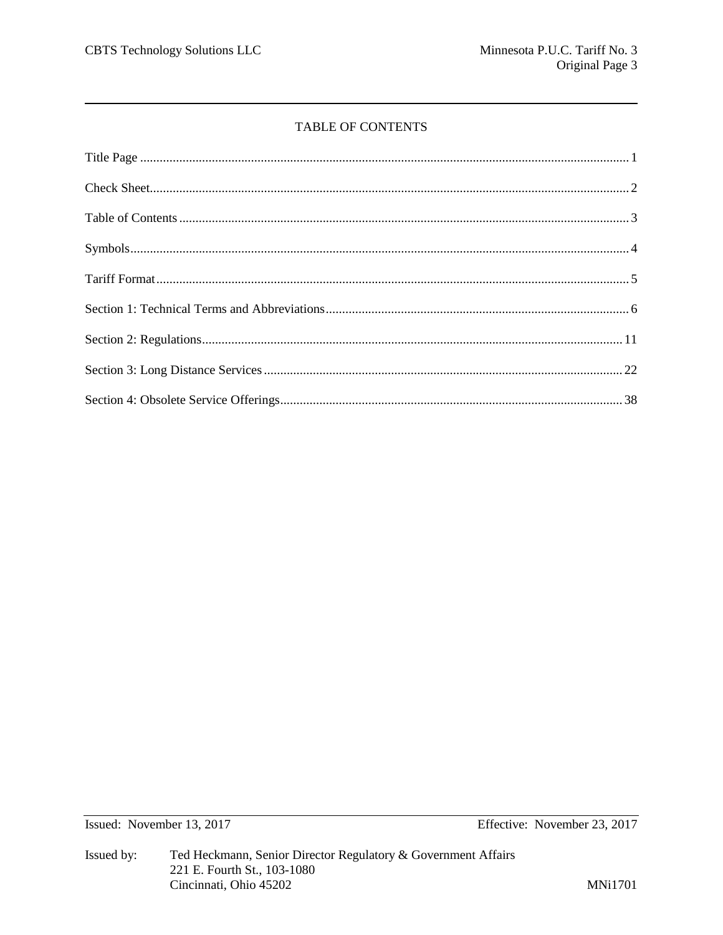# TABLE OF CONTENTS

Issued: November 13, 2017

Effective: November 23, 2017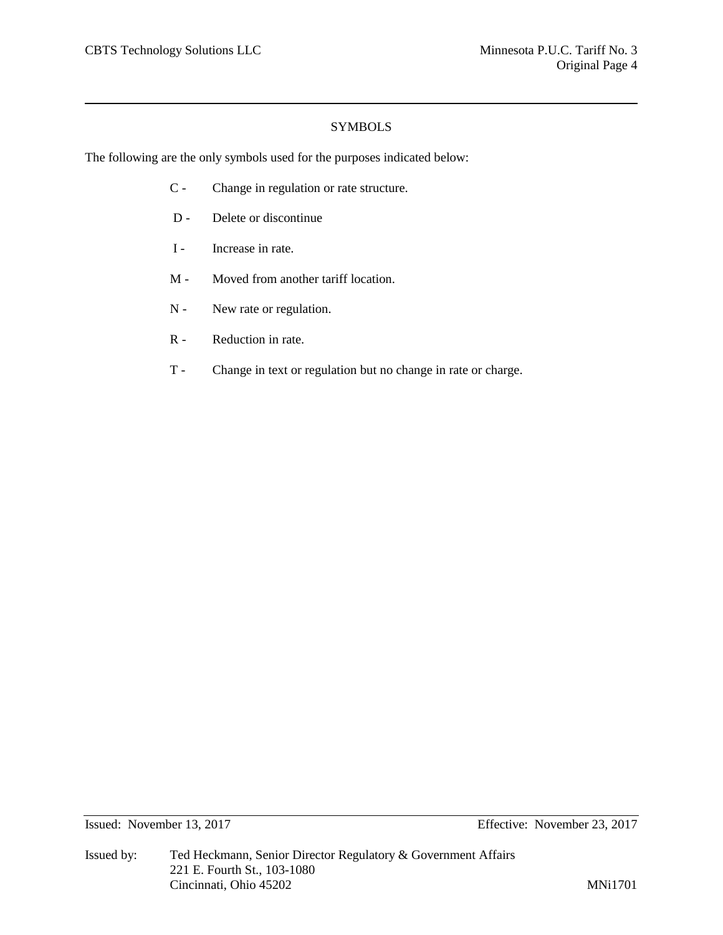# **SYMBOLS**

The following are the only symbols used for the purposes indicated below:

- C Change in regulation or rate structure.
- D Delete or discontinue
- I Increase in rate.
- M Moved from another tariff location.
- N New rate or regulation.
- R Reduction in rate.
- T Change in text or regulation but no change in rate or charge.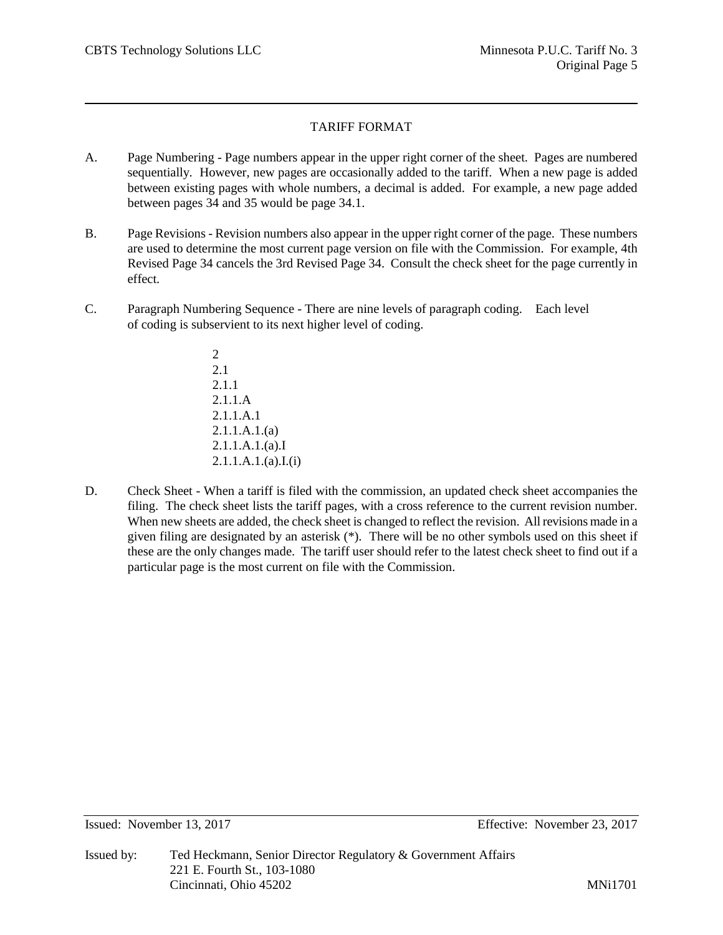# TARIFF FORMAT

- A. Page Numbering Page numbers appear in the upper right corner of the sheet. Pages are numbered sequentially. However, new pages are occasionally added to the tariff. When a new page is added between existing pages with whole numbers, a decimal is added. For example, a new page added between pages 34 and 35 would be page 34.1.
- B. Page Revisions Revision numbers also appear in the upper right corner of the page. These numbers are used to determine the most current page version on file with the Commission. For example, 4th Revised Page 34 cancels the 3rd Revised Page 34. Consult the check sheet for the page currently in effect.
- C. Paragraph Numbering Sequence There are nine levels of paragraph coding. Each level of coding is subservient to its next higher level of coding.
	- $\mathfrak{D}$ 2.1 2.1.1 2.1.1.A 2.1.1.A.1 2.1.1.A.1.(a) 2.1.1.A.1.(a).I  $2.1.1.A.1.(a).I.(i)$
- D. Check Sheet When a tariff is filed with the commission, an updated check sheet accompanies the filing. The check sheet lists the tariff pages, with a cross reference to the current revision number. When new sheets are added, the check sheet is changed to reflect the revision. All revisions made in a given filing are designated by an asterisk (\*). There will be no other symbols used on this sheet if these are the only changes made. The tariff user should refer to the latest check sheet to find out if a particular page is the most current on file with the Commission.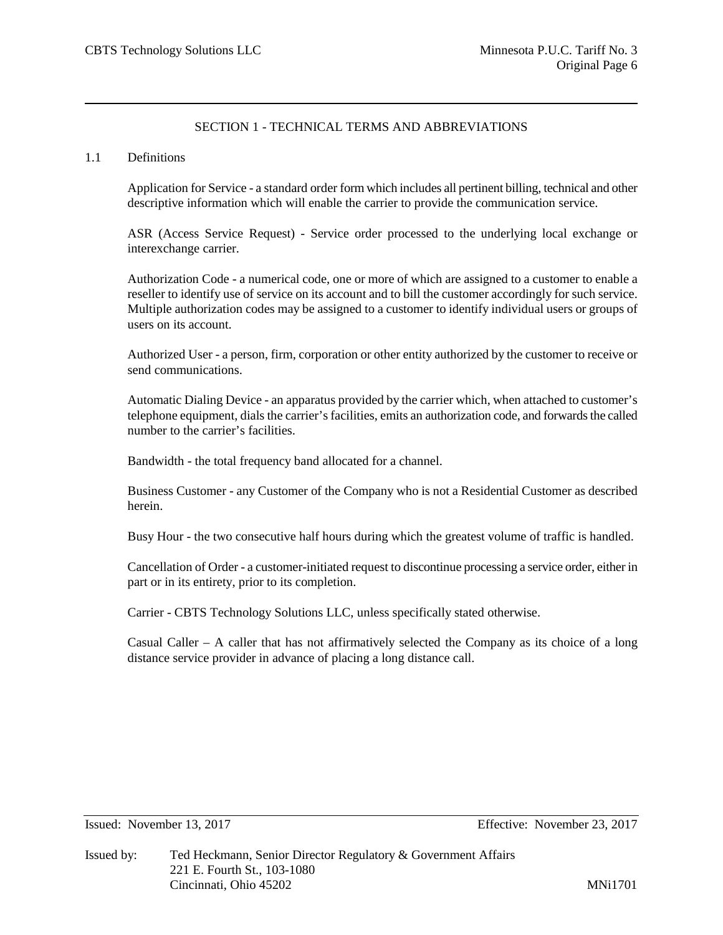# SECTION 1 - TECHNICAL TERMS AND ABBREVIATIONS

### 1.1 Definitions

Application for Service - a standard order form which includes all pertinent billing, technical and other descriptive information which will enable the carrier to provide the communication service.

ASR (Access Service Request) - Service order processed to the underlying local exchange or interexchange carrier.

Authorization Code - a numerical code, one or more of which are assigned to a customer to enable a reseller to identify use of service on its account and to bill the customer accordingly for such service. Multiple authorization codes may be assigned to a customer to identify individual users or groups of users on its account.

Authorized User - a person, firm, corporation or other entity authorized by the customer to receive or send communications.

Automatic Dialing Device - an apparatus provided by the carrier which, when attached to customer's telephone equipment, dials the carrier's facilities, emits an authorization code, and forwards the called number to the carrier's facilities.

Bandwidth - the total frequency band allocated for a channel.

Business Customer - any Customer of the Company who is not a Residential Customer as described herein.

Busy Hour - the two consecutive half hours during which the greatest volume of traffic is handled.

Cancellation of Order - a customer-initiated request to discontinue processing a service order, either in part or in its entirety, prior to its completion.

Carrier - CBTS Technology Solutions LLC, unless specifically stated otherwise.

Casual Caller – A caller that has not affirmatively selected the Company as its choice of a long distance service provider in advance of placing a long distance call.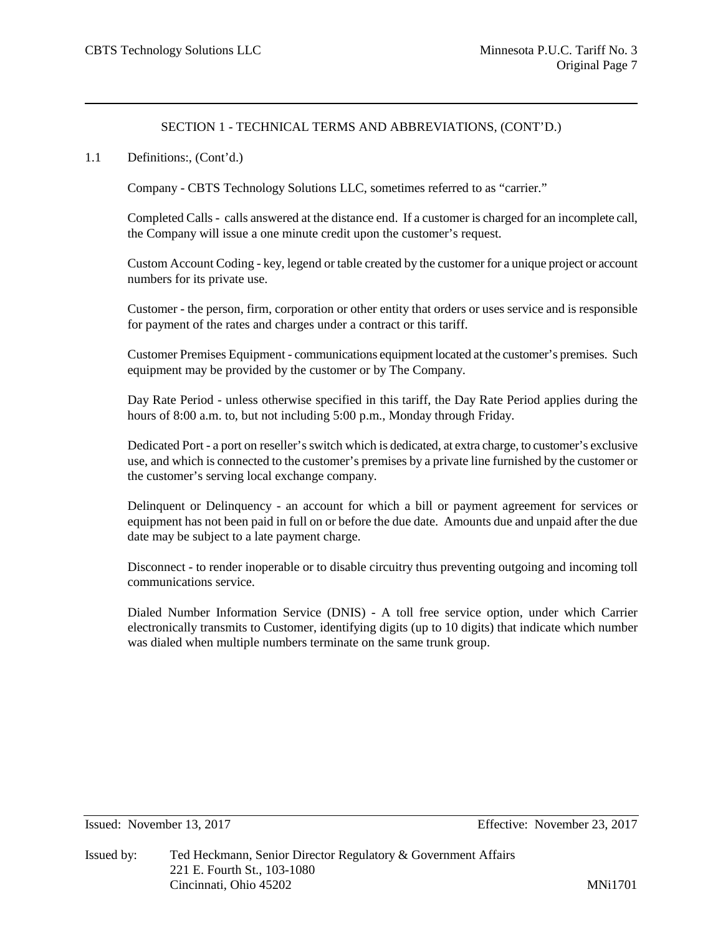## 1.1 Definitions:, (Cont'd.)

Company - CBTS Technology Solutions LLC, sometimes referred to as "carrier."

Completed Calls - calls answered at the distance end. If a customer is charged for an incomplete call, the Company will issue a one minute credit upon the customer's request.

Custom Account Coding - key, legend or table created by the customer for a unique project or account numbers for its private use.

Customer - the person, firm, corporation or other entity that orders or uses service and is responsible for payment of the rates and charges under a contract or this tariff.

Customer Premises Equipment - communications equipment located at the customer's premises. Such equipment may be provided by the customer or by The Company.

Day Rate Period - unless otherwise specified in this tariff, the Day Rate Period applies during the hours of 8:00 a.m. to, but not including 5:00 p.m., Monday through Friday.

Dedicated Port - a port on reseller's switch which is dedicated, at extra charge, to customer's exclusive use, and which is connected to the customer's premises by a private line furnished by the customer or the customer's serving local exchange company.

Delinquent or Delinquency - an account for which a bill or payment agreement for services or equipment has not been paid in full on or before the due date. Amounts due and unpaid after the due date may be subject to a late payment charge.

Disconnect - to render inoperable or to disable circuitry thus preventing outgoing and incoming toll communications service.

Dialed Number Information Service (DNIS) - A toll free service option, under which Carrier electronically transmits to Customer, identifying digits (up to 10 digits) that indicate which number was dialed when multiple numbers terminate on the same trunk group.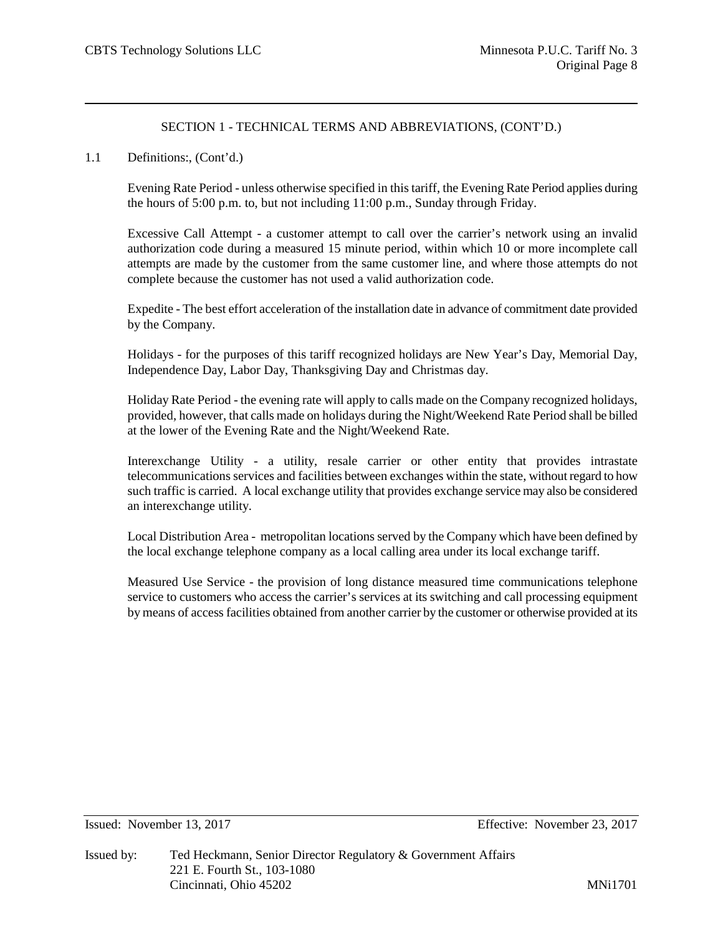### 1.1 Definitions:, (Cont'd.)

Evening Rate Period - unless otherwise specified in this tariff, the Evening Rate Period applies during the hours of 5:00 p.m. to, but not including 11:00 p.m., Sunday through Friday.

Excessive Call Attempt - a customer attempt to call over the carrier's network using an invalid authorization code during a measured 15 minute period, within which 10 or more incomplete call attempts are made by the customer from the same customer line, and where those attempts do not complete because the customer has not used a valid authorization code.

Expedite - The best effort acceleration of the installation date in advance of commitment date provided by the Company.

Holidays - for the purposes of this tariff recognized holidays are New Year's Day, Memorial Day, Independence Day, Labor Day, Thanksgiving Day and Christmas day.

Holiday Rate Period - the evening rate will apply to calls made on the Company recognized holidays, provided, however, that calls made on holidays during the Night/Weekend Rate Period shall be billed at the lower of the Evening Rate and the Night/Weekend Rate.

Interexchange Utility - a utility, resale carrier or other entity that provides intrastate telecommunications services and facilities between exchanges within the state, without regard to how such traffic is carried. A local exchange utility that provides exchange service may also be considered an interexchange utility.

Local Distribution Area - metropolitan locations served by the Company which have been defined by the local exchange telephone company as a local calling area under its local exchange tariff.

Measured Use Service - the provision of long distance measured time communications telephone service to customers who access the carrier's services at its switching and call processing equipment by means of access facilities obtained from another carrier by the customer or otherwise provided at its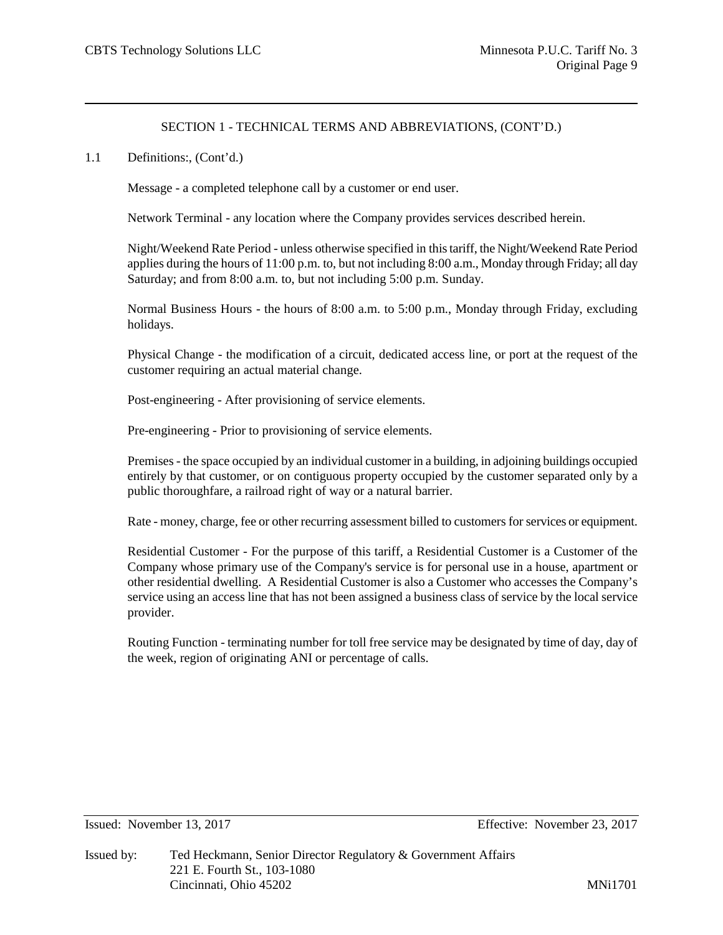1.1 Definitions:, (Cont'd.)

Message - a completed telephone call by a customer or end user.

Network Terminal - any location where the Company provides services described herein.

Night/Weekend Rate Period - unless otherwise specified in this tariff, the Night/Weekend Rate Period applies during the hours of 11:00 p.m. to, but not including 8:00 a.m., Monday through Friday; all day Saturday; and from 8:00 a.m. to, but not including 5:00 p.m. Sunday.

Normal Business Hours - the hours of 8:00 a.m. to 5:00 p.m., Monday through Friday, excluding holidays.

Physical Change - the modification of a circuit, dedicated access line, or port at the request of the customer requiring an actual material change.

Post-engineering - After provisioning of service elements.

Pre-engineering - Prior to provisioning of service elements.

Premises - the space occupied by an individual customer in a building, in adjoining buildings occupied entirely by that customer, or on contiguous property occupied by the customer separated only by a public thoroughfare, a railroad right of way or a natural barrier.

Rate - money, charge, fee or other recurring assessment billed to customers for services or equipment.

Residential Customer - For the purpose of this tariff, a Residential Customer is a Customer of the Company whose primary use of the Company's service is for personal use in a house, apartment or other residential dwelling. A Residential Customer is also a Customer who accesses the Company's service using an access line that has not been assigned a business class of service by the local service provider.

Routing Function - terminating number for toll free service may be designated by time of day, day of the week, region of originating ANI or percentage of calls.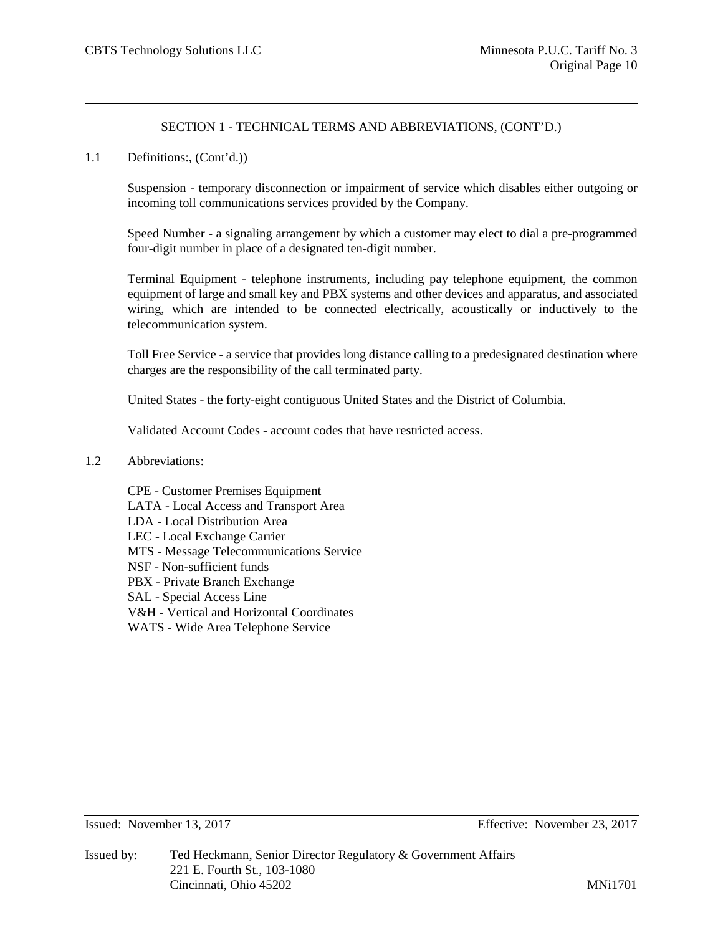1.1 Definitions:, (Cont'd.))

Suspension - temporary disconnection or impairment of service which disables either outgoing or incoming toll communications services provided by the Company.

Speed Number - a signaling arrangement by which a customer may elect to dial a pre-programmed four-digit number in place of a designated ten-digit number.

Terminal Equipment - telephone instruments, including pay telephone equipment, the common equipment of large and small key and PBX systems and other devices and apparatus, and associated wiring, which are intended to be connected electrically, acoustically or inductively to the telecommunication system.

Toll Free Service - a service that provides long distance calling to a predesignated destination where charges are the responsibility of the call terminated party.

United States - the forty-eight contiguous United States and the District of Columbia.

Validated Account Codes - account codes that have restricted access.

- 1.2 Abbreviations:
	- CPE Customer Premises Equipment LATA - Local Access and Transport Area LDA - Local Distribution Area LEC - Local Exchange Carrier MTS - Message Telecommunications Service NSF - Non-sufficient funds PBX - Private Branch Exchange SAL - Special Access Line V&H - Vertical and Horizontal Coordinates WATS - Wide Area Telephone Service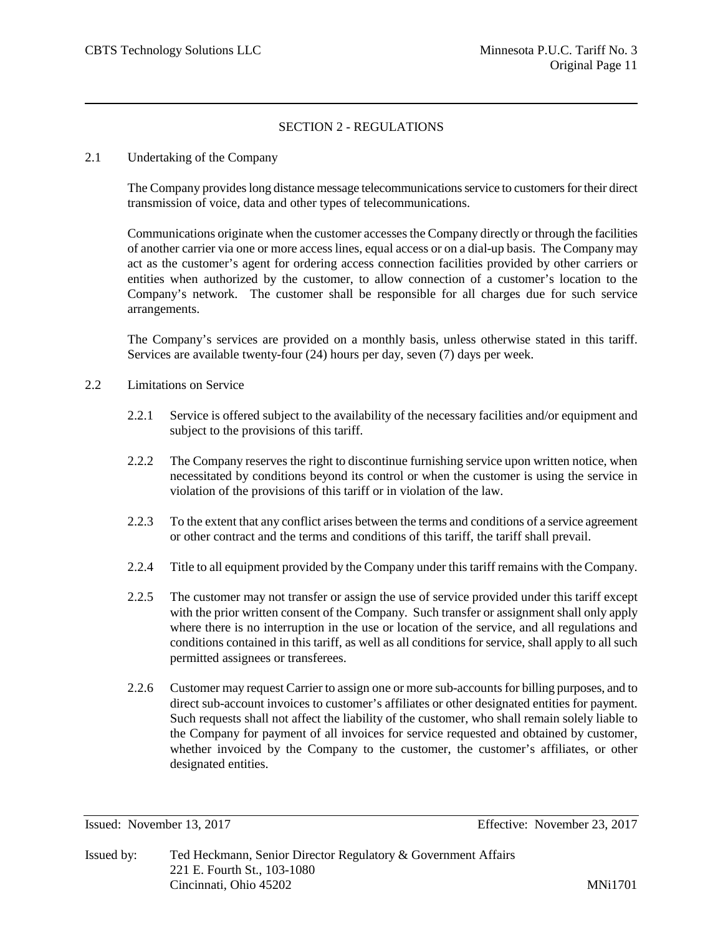# SECTION 2 - REGULATIONS

#### 2.1 Undertaking of the Company

The Company provides long distance message telecommunications service to customers for their direct transmission of voice, data and other types of telecommunications.

Communications originate when the customer accesses the Company directly or through the facilities of another carrier via one or more access lines, equal access or on a dial-up basis. The Company may act as the customer's agent for ordering access connection facilities provided by other carriers or entities when authorized by the customer, to allow connection of a customer's location to the Company's network. The customer shall be responsible for all charges due for such service arrangements.

The Company's services are provided on a monthly basis, unless otherwise stated in this tariff. Services are available twenty-four (24) hours per day, seven (7) days per week.

- 2.2 Limitations on Service
	- 2.2.1 Service is offered subject to the availability of the necessary facilities and/or equipment and subject to the provisions of this tariff.
	- 2.2.2 The Company reserves the right to discontinue furnishing service upon written notice, when necessitated by conditions beyond its control or when the customer is using the service in violation of the provisions of this tariff or in violation of the law.
	- 2.2.3 To the extent that any conflict arises between the terms and conditions of a service agreement or other contract and the terms and conditions of this tariff, the tariff shall prevail.
	- 2.2.4 Title to all equipment provided by the Company under this tariff remains with the Company.
	- 2.2.5 The customer may not transfer or assign the use of service provided under this tariff except with the prior written consent of the Company. Such transfer or assignment shall only apply where there is no interruption in the use or location of the service, and all regulations and conditions contained in this tariff, as well as all conditions for service, shall apply to all such permitted assignees or transferees.
	- 2.2.6 Customer may request Carrier to assign one or more sub-accounts for billing purposes, and to direct sub-account invoices to customer's affiliates or other designated entities for payment. Such requests shall not affect the liability of the customer, who shall remain solely liable to the Company for payment of all invoices for service requested and obtained by customer, whether invoiced by the Company to the customer, the customer's affiliates, or other designated entities.

Issued: November 13, 2017 Effective: November 23, 2017

Issued by: Ted Heckmann, Senior Director Regulatory & Government Affairs 221 E. Fourth St., 103-1080 Cincinnati, Ohio 45202 MNi1701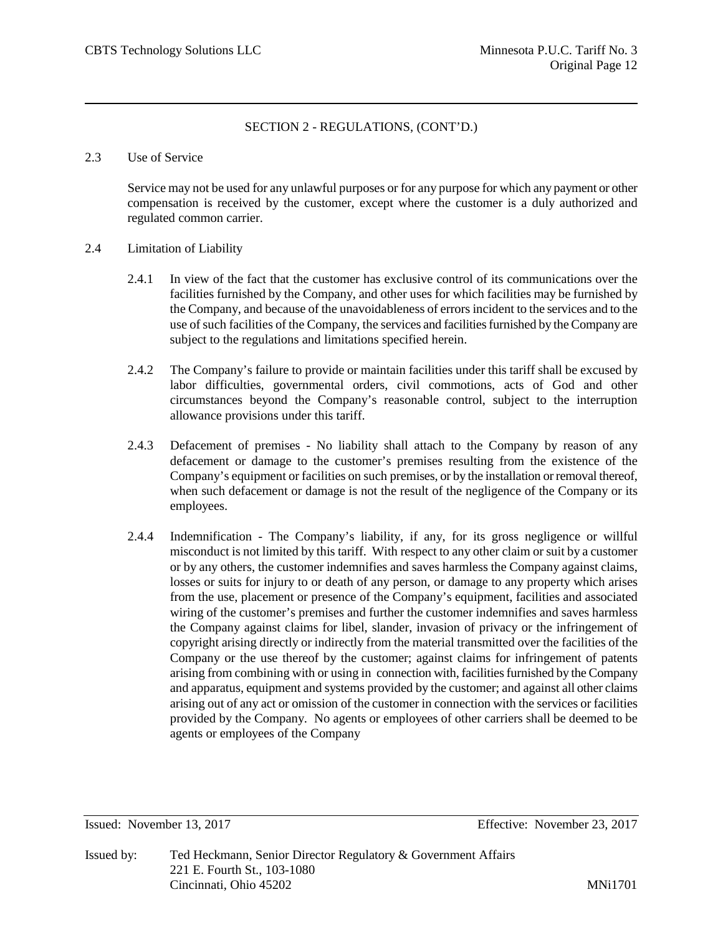#### 2.3 Use of Service

Service may not be used for any unlawful purposes or for any purpose for which any payment or other compensation is received by the customer, except where the customer is a duly authorized and regulated common carrier.

#### 2.4 Limitation of Liability

- 2.4.1 In view of the fact that the customer has exclusive control of its communications over the facilities furnished by the Company, and other uses for which facilities may be furnished by the Company, and because of the unavoidableness of errors incident to the services and to the use of such facilities of the Company, the services and facilities furnished by the Company are subject to the regulations and limitations specified herein.
- 2.4.2 The Company's failure to provide or maintain facilities under this tariff shall be excused by labor difficulties, governmental orders, civil commotions, acts of God and other circumstances beyond the Company's reasonable control, subject to the interruption allowance provisions under this tariff.
- 2.4.3 Defacement of premises No liability shall attach to the Company by reason of any defacement or damage to the customer's premises resulting from the existence of the Company's equipment or facilities on such premises, or by the installation or removal thereof, when such defacement or damage is not the result of the negligence of the Company or its employees.
- 2.4.4 Indemnification The Company's liability, if any, for its gross negligence or willful misconduct is not limited by this tariff. With respect to any other claim or suit by a customer or by any others, the customer indemnifies and saves harmless the Company against claims, losses or suits for injury to or death of any person, or damage to any property which arises from the use, placement or presence of the Company's equipment, facilities and associated wiring of the customer's premises and further the customer indemnifies and saves harmless the Company against claims for libel, slander, invasion of privacy or the infringement of copyright arising directly or indirectly from the material transmitted over the facilities of the Company or the use thereof by the customer; against claims for infringement of patents arising from combining with or using in connection with, facilities furnished by the Company and apparatus, equipment and systems provided by the customer; and against all other claims arising out of any act or omission of the customer in connection with the services or facilities provided by the Company. No agents or employees of other carriers shall be deemed to be agents or employees of the Company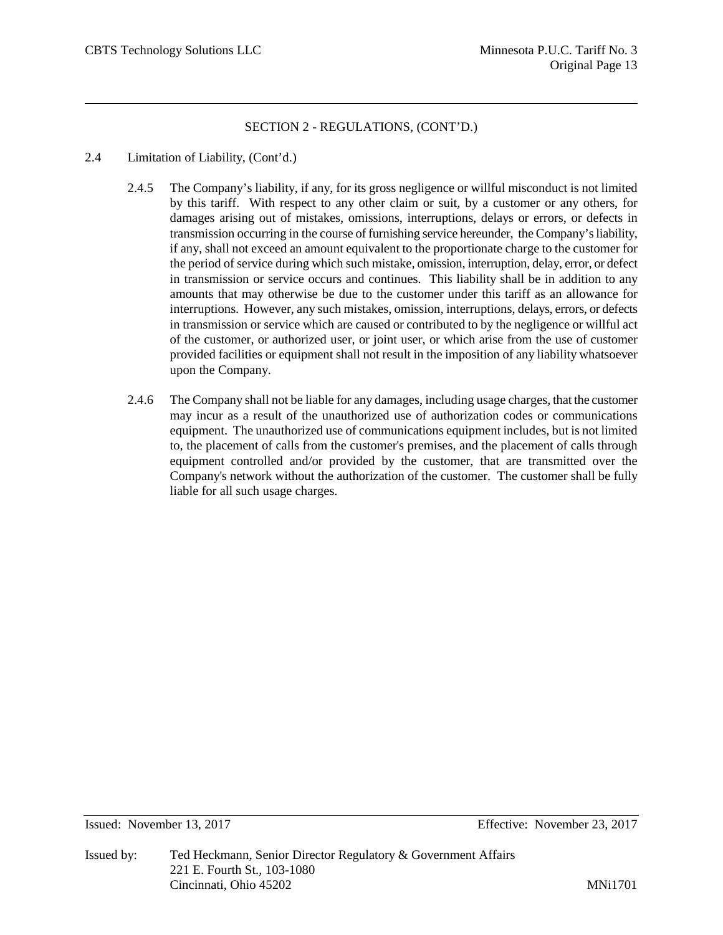- 2.4 Limitation of Liability, (Cont'd.)
	- 2.4.5 The Company's liability, if any, for its gross negligence or willful misconduct is not limited by this tariff. With respect to any other claim or suit, by a customer or any others, for damages arising out of mistakes, omissions, interruptions, delays or errors, or defects in transmission occurring in the course of furnishing service hereunder, the Company's liability, if any, shall not exceed an amount equivalent to the proportionate charge to the customer for the period of service during which such mistake, omission, interruption, delay, error, or defect in transmission or service occurs and continues. This liability shall be in addition to any amounts that may otherwise be due to the customer under this tariff as an allowance for interruptions. However, any such mistakes, omission, interruptions, delays, errors, or defects in transmission or service which are caused or contributed to by the negligence or willful act of the customer, or authorized user, or joint user, or which arise from the use of customer provided facilities or equipment shall not result in the imposition of any liability whatsoever upon the Company.
	- 2.4.6 The Company shall not be liable for any damages, including usage charges, that the customer may incur as a result of the unauthorized use of authorization codes or communications equipment. The unauthorized use of communications equipment includes, but is not limited to, the placement of calls from the customer's premises, and the placement of calls through equipment controlled and/or provided by the customer, that are transmitted over the Company's network without the authorization of the customer. The customer shall be fully liable for all such usage charges.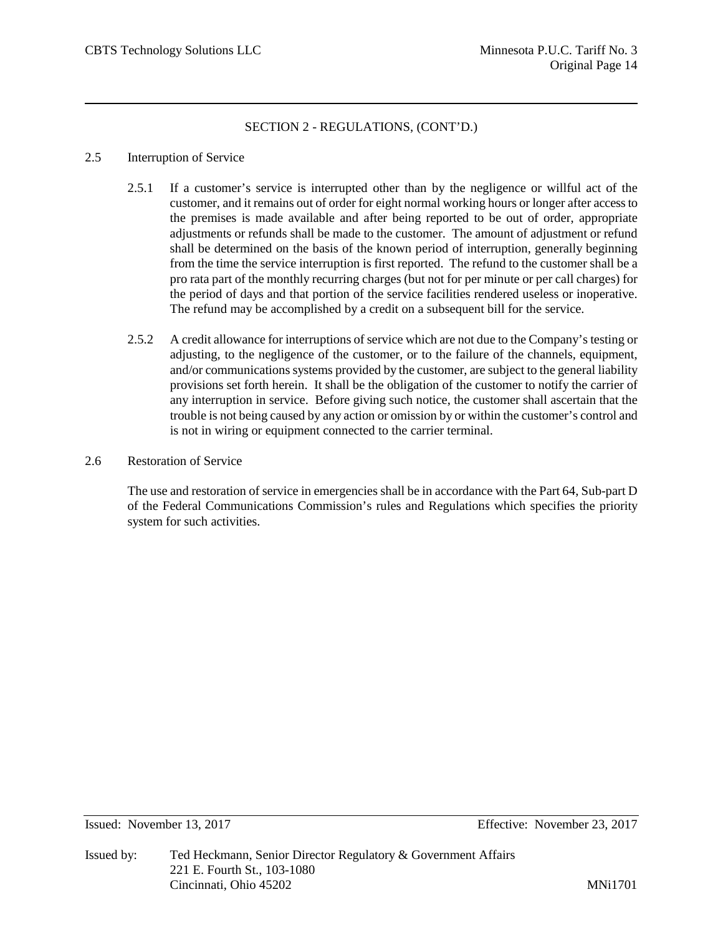#### 2.5 Interruption of Service

- 2.5.1 If a customer's service is interrupted other than by the negligence or willful act of the customer, and it remains out of order for eight normal working hours or longer after access to the premises is made available and after being reported to be out of order, appropriate adjustments or refunds shall be made to the customer. The amount of adjustment or refund shall be determined on the basis of the known period of interruption, generally beginning from the time the service interruption is first reported. The refund to the customer shall be a pro rata part of the monthly recurring charges (but not for per minute or per call charges) for the period of days and that portion of the service facilities rendered useless or inoperative. The refund may be accomplished by a credit on a subsequent bill for the service.
- 2.5.2 A credit allowance for interruptions of service which are not due to the Company's testing or adjusting, to the negligence of the customer, or to the failure of the channels, equipment, and/or communications systems provided by the customer, are subject to the general liability provisions set forth herein. It shall be the obligation of the customer to notify the carrier of any interruption in service. Before giving such notice, the customer shall ascertain that the trouble is not being caused by any action or omission by or within the customer's control and is not in wiring or equipment connected to the carrier terminal.
- 2.6 Restoration of Service

The use and restoration of service in emergencies shall be in accordance with the Part 64, Sub-part D of the Federal Communications Commission's rules and Regulations which specifies the priority system for such activities.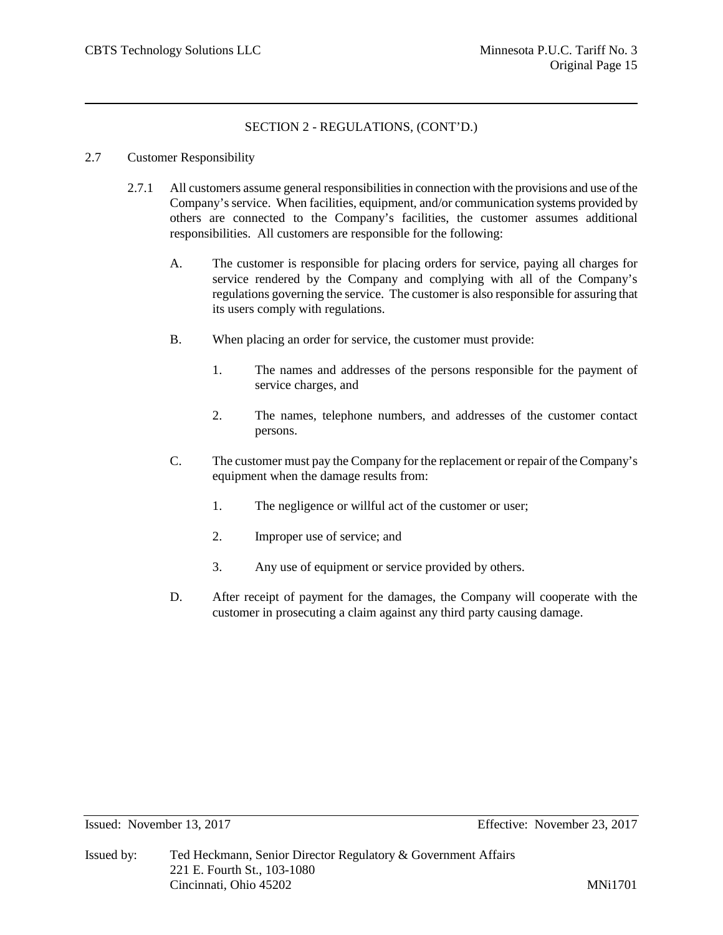#### 2.7 Customer Responsibility

- 2.7.1 All customers assume general responsibilities in connection with the provisions and use of the Company's service. When facilities, equipment, and/or communication systems provided by others are connected to the Company's facilities, the customer assumes additional responsibilities. All customers are responsible for the following:
	- A. The customer is responsible for placing orders for service, paying all charges for service rendered by the Company and complying with all of the Company's regulations governing the service. The customer is also responsible for assuring that its users comply with regulations.
	- B. When placing an order for service, the customer must provide:
		- 1. The names and addresses of the persons responsible for the payment of service charges, and
		- 2. The names, telephone numbers, and addresses of the customer contact persons.
	- C. The customer must pay the Company for the replacement or repair of the Company's equipment when the damage results from:
		- 1. The negligence or willful act of the customer or user;
		- 2. Improper use of service; and
		- 3. Any use of equipment or service provided by others.
	- D. After receipt of payment for the damages, the Company will cooperate with the customer in prosecuting a claim against any third party causing damage.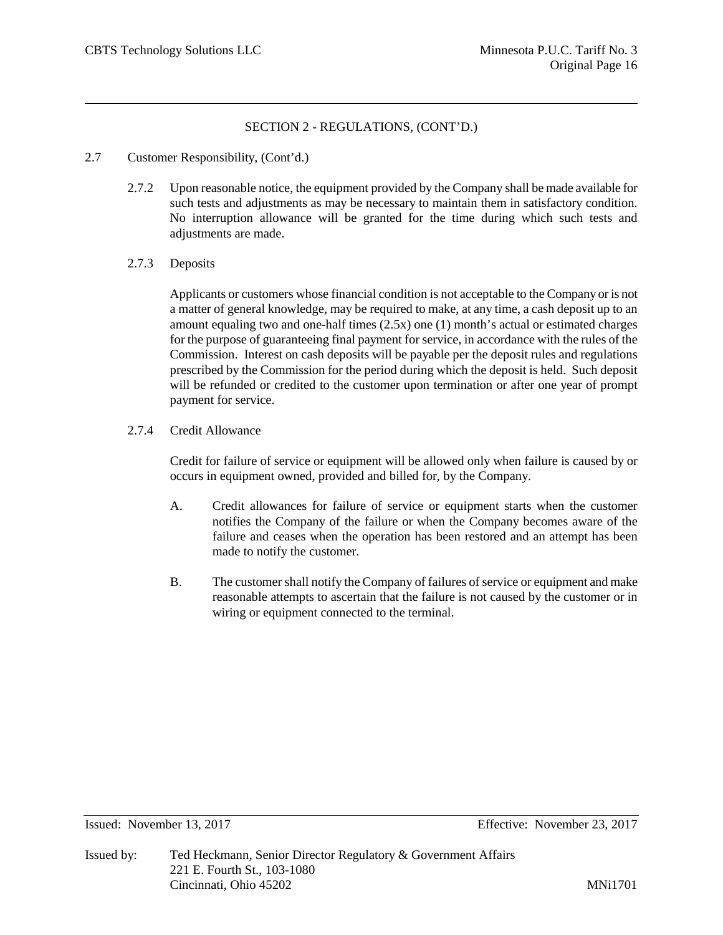- 2.7 Customer Responsibility, (Cont'd.)
	- 2.7.2 Upon reasonable notice, the equipment provided by the Company shall be made available for such tests and adjustments as may be necessary to maintain them in satisfactory condition. No interruption allowance will be granted for the time during which such tests and adjustments are made.
	- 2.7.3 Deposits

Applicants or customers whose financial condition is not acceptable to the Company or is not a matter of general knowledge, may be required to make, at any time, a cash deposit up to an amount equaling two and one-half times (2.5x) one (1) month's actual or estimated charges for the purpose of guaranteeing final payment for service, in accordance with the rules of the Commission. Interest on cash deposits will be payable per the deposit rules and regulations prescribed by the Commission for the period during which the deposit is held. Such deposit will be refunded or credited to the customer upon termination or after one year of prompt payment for service.

2.7.4 Credit Allowance

Credit for failure of service or equipment will be allowed only when failure is caused by or occurs in equipment owned, provided and billed for, by the Company.

- A. Credit allowances for failure of service or equipment starts when the customer notifies the Company of the failure or when the Company becomes aware of the failure and ceases when the operation has been restored and an attempt has been made to notify the customer.
- B. The customer shall notify the Company of failures of service or equipment and make reasonable attempts to ascertain that the failure is not caused by the customer or in wiring or equipment connected to the terminal.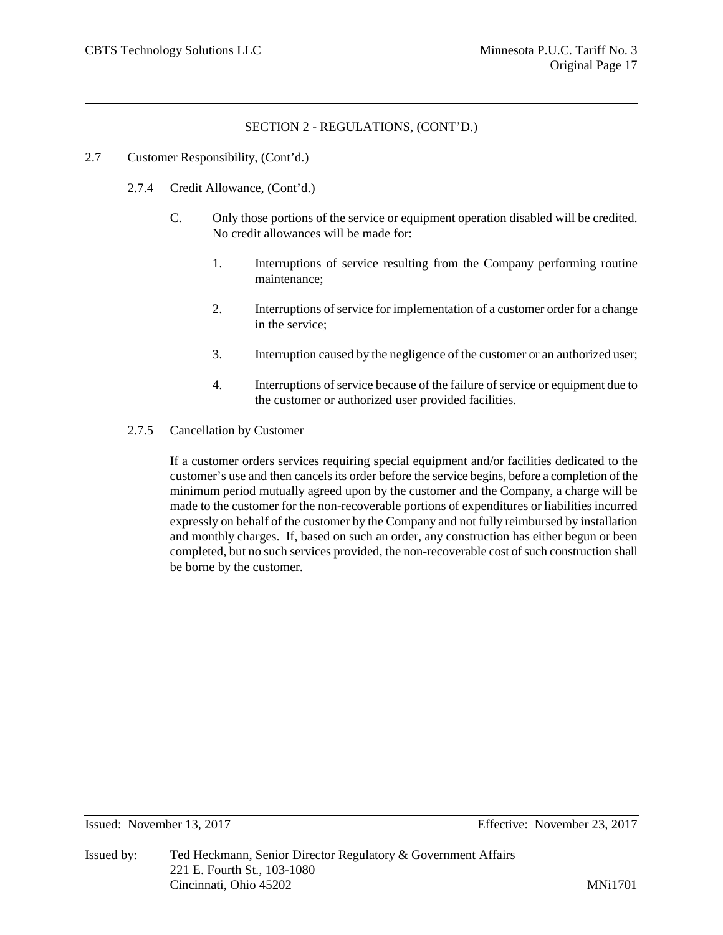#### 2.7 Customer Responsibility, (Cont'd.)

- 2.7.4 Credit Allowance, (Cont'd.)
	- C. Only those portions of the service or equipment operation disabled will be credited. No credit allowances will be made for:
		- 1. Interruptions of service resulting from the Company performing routine maintenance;
		- 2. Interruptions of service for implementation of a customer order for a change in the service;
		- 3. Interruption caused by the negligence of the customer or an authorized user;
		- 4. Interruptions of service because of the failure of service or equipment due to the customer or authorized user provided facilities.
- 2.7.5 Cancellation by Customer

If a customer orders services requiring special equipment and/or facilities dedicated to the customer's use and then cancels its order before the service begins, before a completion of the minimum period mutually agreed upon by the customer and the Company, a charge will be made to the customer for the non-recoverable portions of expenditures or liabilities incurred expressly on behalf of the customer by the Company and not fully reimbursed by installation and monthly charges. If, based on such an order, any construction has either begun or been completed, but no such services provided, the non-recoverable cost of such construction shall be borne by the customer.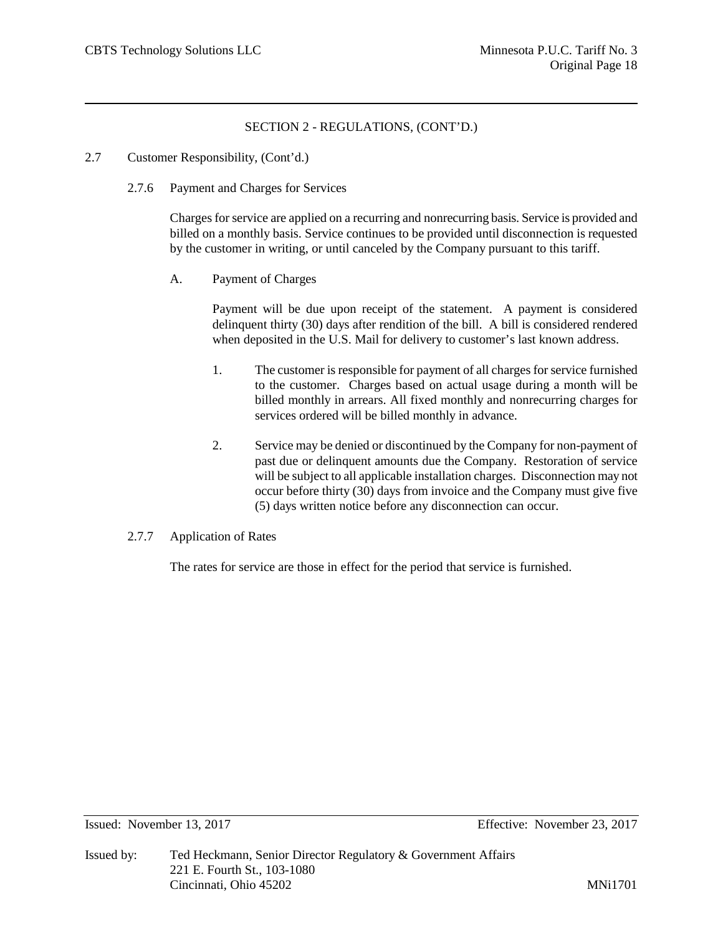- 2.7 Customer Responsibility, (Cont'd.)
	- 2.7.6 Payment and Charges for Services

Charges for service are applied on a recurring and nonrecurring basis. Service is provided and billed on a monthly basis. Service continues to be provided until disconnection is requested by the customer in writing, or until canceled by the Company pursuant to this tariff.

A. Payment of Charges

Payment will be due upon receipt of the statement. A payment is considered delinquent thirty (30) days after rendition of the bill. A bill is considered rendered when deposited in the U.S. Mail for delivery to customer's last known address.

- 1. The customer is responsible for payment of all charges for service furnished to the customer. Charges based on actual usage during a month will be billed monthly in arrears. All fixed monthly and nonrecurring charges for services ordered will be billed monthly in advance.
- 2. Service may be denied or discontinued by the Company for non-payment of past due or delinquent amounts due the Company. Restoration of service will be subject to all applicable installation charges. Disconnection may not occur before thirty (30) days from invoice and the Company must give five (5) days written notice before any disconnection can occur.
- 2.7.7 Application of Rates

The rates for service are those in effect for the period that service is furnished.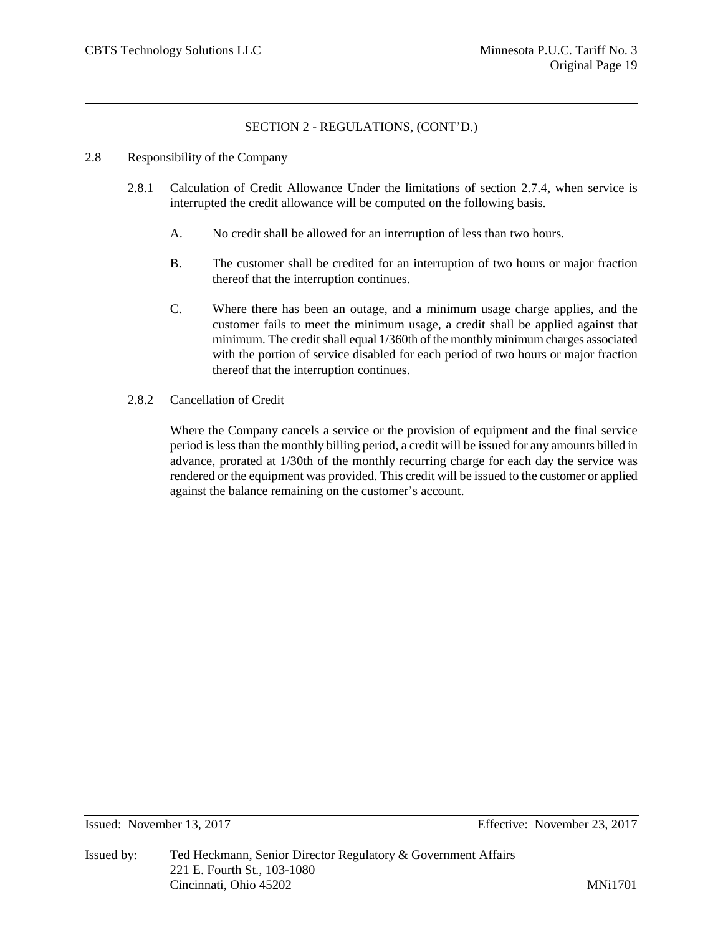- 2.8 Responsibility of the Company
	- 2.8.1 Calculation of Credit Allowance Under the limitations of section 2.7.4, when service is interrupted the credit allowance will be computed on the following basis.
		- A. No credit shall be allowed for an interruption of less than two hours.
		- B. The customer shall be credited for an interruption of two hours or major fraction thereof that the interruption continues.
		- C. Where there has been an outage, and a minimum usage charge applies, and the customer fails to meet the minimum usage, a credit shall be applied against that minimum. The credit shall equal 1/360th of the monthly minimum charges associated with the portion of service disabled for each period of two hours or major fraction thereof that the interruption continues.
	- 2.8.2 Cancellation of Credit

Where the Company cancels a service or the provision of equipment and the final service period is less than the monthly billing period, a credit will be issued for any amounts billed in advance, prorated at 1/30th of the monthly recurring charge for each day the service was rendered or the equipment was provided. This credit will be issued to the customer or applied against the balance remaining on the customer's account.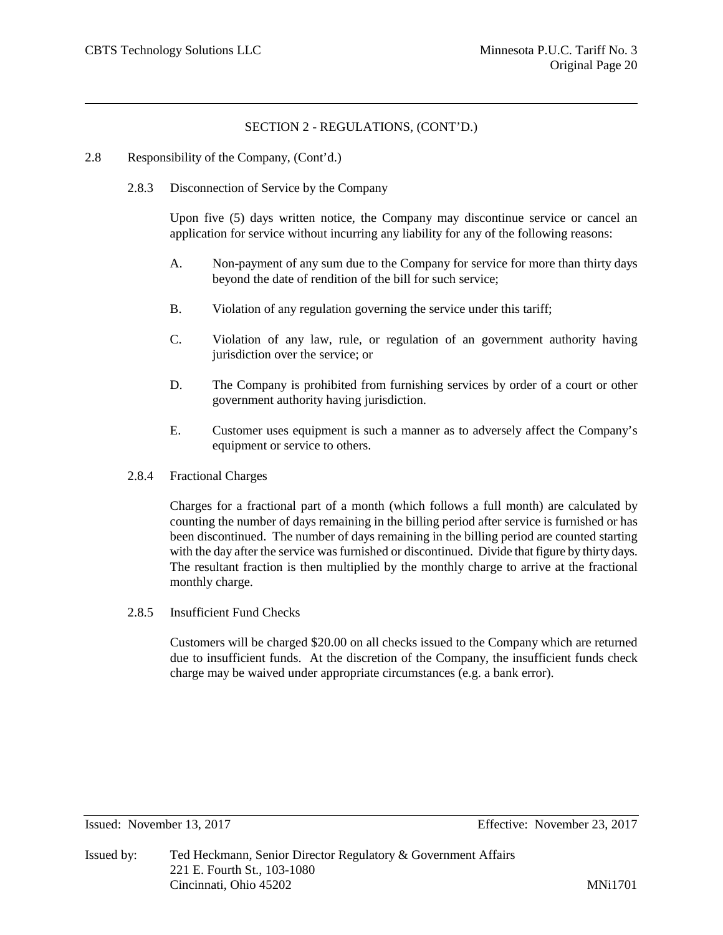- 2.8 Responsibility of the Company, (Cont'd.)
	- 2.8.3 Disconnection of Service by the Company

Upon five (5) days written notice, the Company may discontinue service or cancel an application for service without incurring any liability for any of the following reasons:

- A. Non-payment of any sum due to the Company for service for more than thirty days beyond the date of rendition of the bill for such service;
- B. Violation of any regulation governing the service under this tariff;
- C. Violation of any law, rule, or regulation of an government authority having jurisdiction over the service; or
- D. The Company is prohibited from furnishing services by order of a court or other government authority having jurisdiction.
- E. Customer uses equipment is such a manner as to adversely affect the Company's equipment or service to others.
- 2.8.4 Fractional Charges

Charges for a fractional part of a month (which follows a full month) are calculated by counting the number of days remaining in the billing period after service is furnished or has been discontinued. The number of days remaining in the billing period are counted starting with the day after the service was furnished or discontinued. Divide that figure by thirty days. The resultant fraction is then multiplied by the monthly charge to arrive at the fractional monthly charge.

2.8.5 Insufficient Fund Checks

Customers will be charged \$20.00 on all checks issued to the Company which are returned due to insufficient funds. At the discretion of the Company, the insufficient funds check charge may be waived under appropriate circumstances (e.g. a bank error).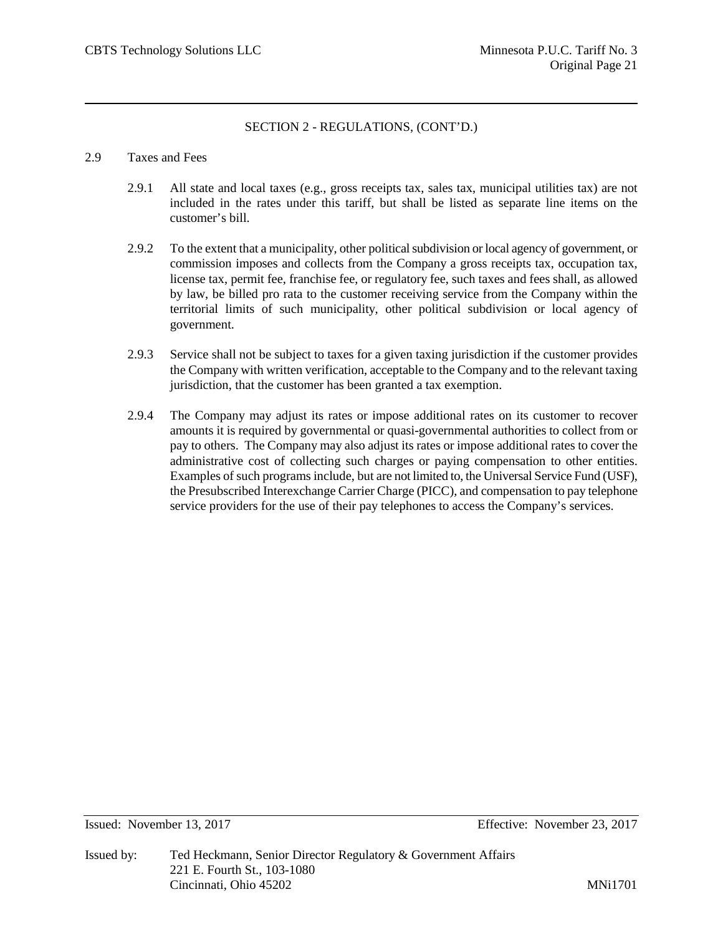#### 2.9 Taxes and Fees

- 2.9.1 All state and local taxes (e.g., gross receipts tax, sales tax, municipal utilities tax) are not included in the rates under this tariff, but shall be listed as separate line items on the customer's bill.
- 2.9.2 To the extent that a municipality, other political subdivision or local agency of government, or commission imposes and collects from the Company a gross receipts tax, occupation tax, license tax, permit fee, franchise fee, or regulatory fee, such taxes and fees shall, as allowed by law, be billed pro rata to the customer receiving service from the Company within the territorial limits of such municipality, other political subdivision or local agency of government.
- 2.9.3 Service shall not be subject to taxes for a given taxing jurisdiction if the customer provides the Company with written verification, acceptable to the Company and to the relevant taxing jurisdiction, that the customer has been granted a tax exemption.
- 2.9.4 The Company may adjust its rates or impose additional rates on its customer to recover amounts it is required by governmental or quasi-governmental authorities to collect from or pay to others. The Company may also adjust its rates or impose additional rates to cover the administrative cost of collecting such charges or paying compensation to other entities. Examples of such programs include, but are not limited to, the Universal Service Fund (USF), the Presubscribed Interexchange Carrier Charge (PICC), and compensation to pay telephone service providers for the use of their pay telephones to access the Company's services.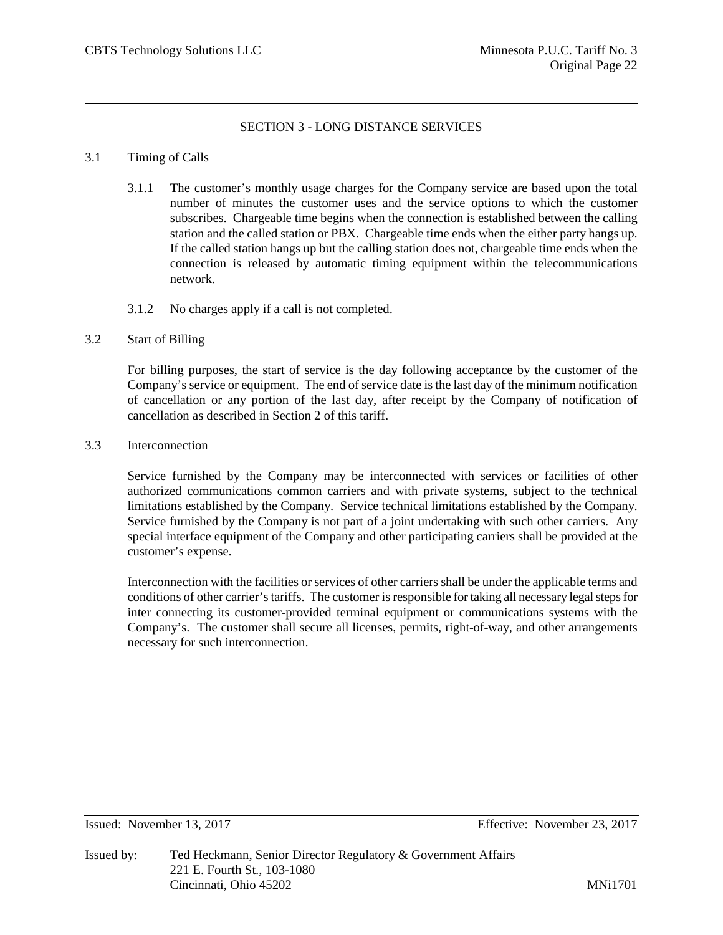# SECTION 3 - LONG DISTANCE SERVICES

#### 3.1 Timing of Calls

- 3.1.1 The customer's monthly usage charges for the Company service are based upon the total number of minutes the customer uses and the service options to which the customer subscribes. Chargeable time begins when the connection is established between the calling station and the called station or PBX. Chargeable time ends when the either party hangs up. If the called station hangs up but the calling station does not, chargeable time ends when the connection is released by automatic timing equipment within the telecommunications network.
- 3.1.2 No charges apply if a call is not completed.

#### 3.2 Start of Billing

For billing purposes, the start of service is the day following acceptance by the customer of the Company's service or equipment. The end of service date is the last day of the minimum notification of cancellation or any portion of the last day, after receipt by the Company of notification of cancellation as described in Section 2 of this tariff.

3.3 Interconnection

Service furnished by the Company may be interconnected with services or facilities of other authorized communications common carriers and with private systems, subject to the technical limitations established by the Company. Service technical limitations established by the Company. Service furnished by the Company is not part of a joint undertaking with such other carriers. Any special interface equipment of the Company and other participating carriers shall be provided at the customer's expense.

Interconnection with the facilities or services of other carriers shall be under the applicable terms and conditions of other carrier'stariffs. The customer is responsible for taking all necessary legal steps for inter connecting its customer-provided terminal equipment or communications systems with the Company's. The customer shall secure all licenses, permits, right-of-way, and other arrangements necessary for such interconnection.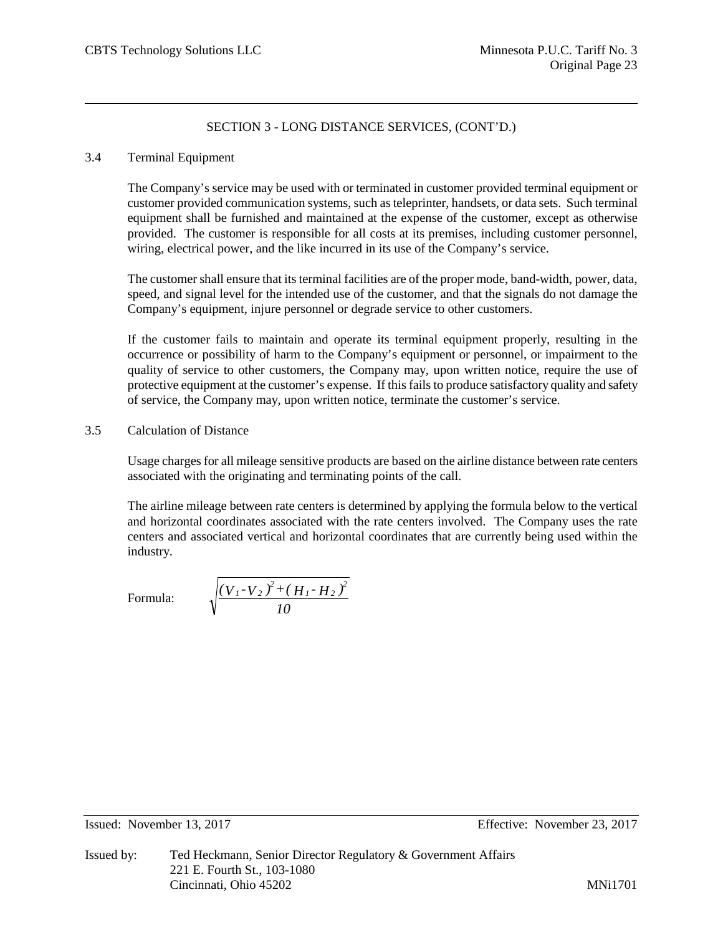## 3.4 Terminal Equipment

The Company's service may be used with or terminated in customer provided terminal equipment or customer provided communication systems, such as teleprinter, handsets, or data sets. Such terminal equipment shall be furnished and maintained at the expense of the customer, except as otherwise provided. The customer is responsible for all costs at its premises, including customer personnel, wiring, electrical power, and the like incurred in its use of the Company's service.

The customer shall ensure that its terminal facilities are of the proper mode, band-width, power, data, speed, and signal level for the intended use of the customer, and that the signals do not damage the Company's equipment, injure personnel or degrade service to other customers.

If the customer fails to maintain and operate its terminal equipment properly, resulting in the occurrence or possibility of harm to the Company's equipment or personnel, or impairment to the quality of service to other customers, the Company may, upon written notice, require the use of protective equipment at the customer's expense. If this fails to produce satisfactory quality and safety of service, the Company may, upon written notice, terminate the customer's service.

# 3.5 Calculation of Distance

Usage charges for all mileage sensitive products are based on the airline distance between rate centers associated with the originating and terminating points of the call.

The airline mileage between rate centers is determined by applying the formula below to the vertical and horizontal coordinates associated with the rate centers involved. The Company uses the rate centers and associated vertical and horizontal coordinates that are currently being used within the industry.

Formula:

$$
\frac{(V_{1}-V_{2})^{2}+(H_{1}-H_{2})^{2}}{10}
$$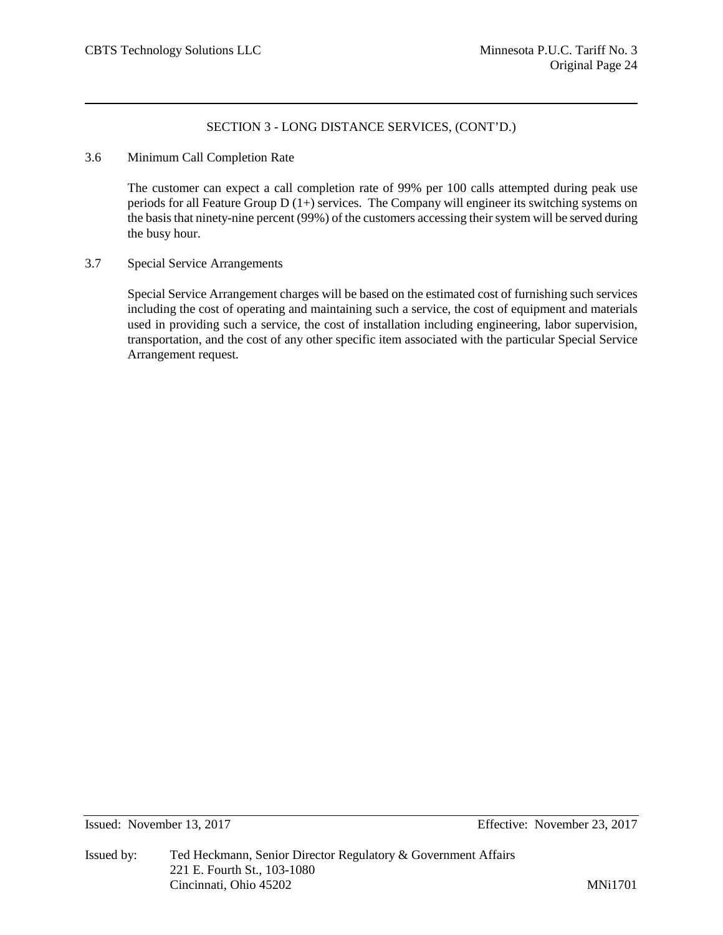3.6 Minimum Call Completion Rate

The customer can expect a call completion rate of 99% per 100 calls attempted during peak use periods for all Feature Group  $D(1+)$  services. The Company will engineer its switching systems on the basis that ninety-nine percent (99%) of the customers accessing their system will be served during the busy hour.

3.7 Special Service Arrangements

Special Service Arrangement charges will be based on the estimated cost of furnishing such services including the cost of operating and maintaining such a service, the cost of equipment and materials used in providing such a service, the cost of installation including engineering, labor supervision, transportation, and the cost of any other specific item associated with the particular Special Service Arrangement request.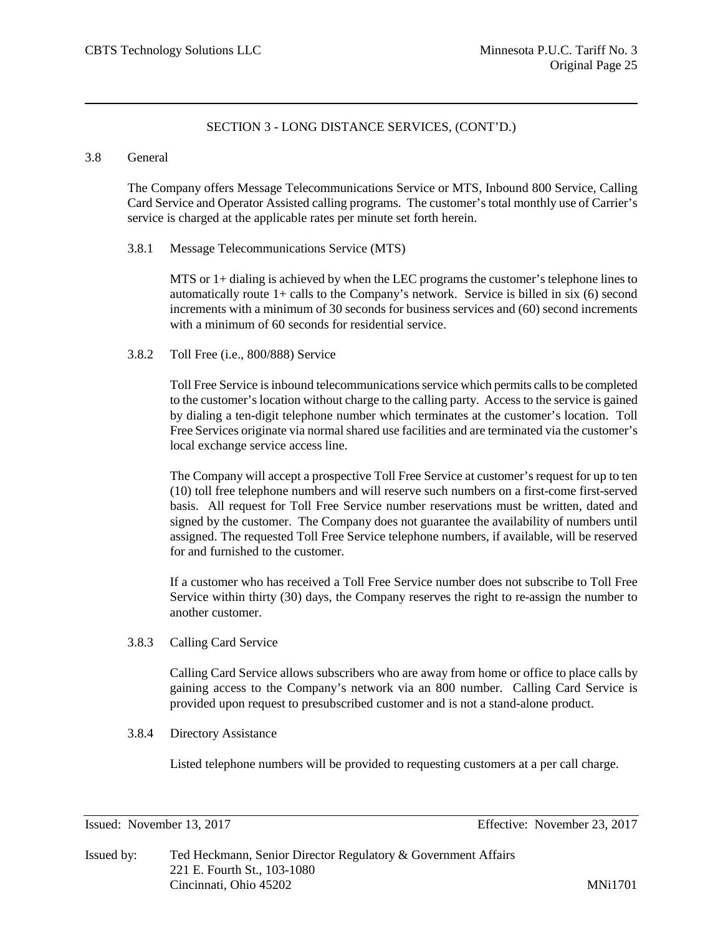#### 3.8 General

The Company offers Message Telecommunications Service or MTS, Inbound 800 Service, Calling Card Service and Operator Assisted calling programs. The customer's total monthly use of Carrier's service is charged at the applicable rates per minute set forth herein.

#### 3.8.1 Message Telecommunications Service (MTS)

MTS or 1+ dialing is achieved by when the LEC programs the customer's telephone lines to automatically route 1+ calls to the Company's network. Service is billed in six (6) second increments with a minimum of 30 seconds for business services and (60) second increments with a minimum of 60 seconds for residential service.

#### 3.8.2 Toll Free (i.e., 800/888) Service

Toll Free Service is inbound telecommunications service which permits calls to be completed to the customer's location without charge to the calling party. Access to the service is gained by dialing a ten-digit telephone number which terminates at the customer's location. Toll Free Services originate via normal shared use facilities and are terminated via the customer's local exchange service access line.

The Company will accept a prospective Toll Free Service at customer's request for up to ten (10) toll free telephone numbers and will reserve such numbers on a first-come first-served basis. All request for Toll Free Service number reservations must be written, dated and signed by the customer. The Company does not guarantee the availability of numbers until assigned. The requested Toll Free Service telephone numbers, if available, will be reserved for and furnished to the customer.

If a customer who has received a Toll Free Service number does not subscribe to Toll Free Service within thirty (30) days, the Company reserves the right to re-assign the number to another customer.

3.8.3 Calling Card Service

Calling Card Service allows subscribers who are away from home or office to place calls by gaining access to the Company's network via an 800 number. Calling Card Service is provided upon request to presubscribed customer and is not a stand-alone product.

3.8.4 Directory Assistance

Listed telephone numbers will be provided to requesting customers at a per call charge.

Issued: November 13, 2017 Effective: November 23, 2017

Issued by: Ted Heckmann, Senior Director Regulatory & Government Affairs 221 E. Fourth St., 103-1080 Cincinnati, Ohio 45202 MNi1701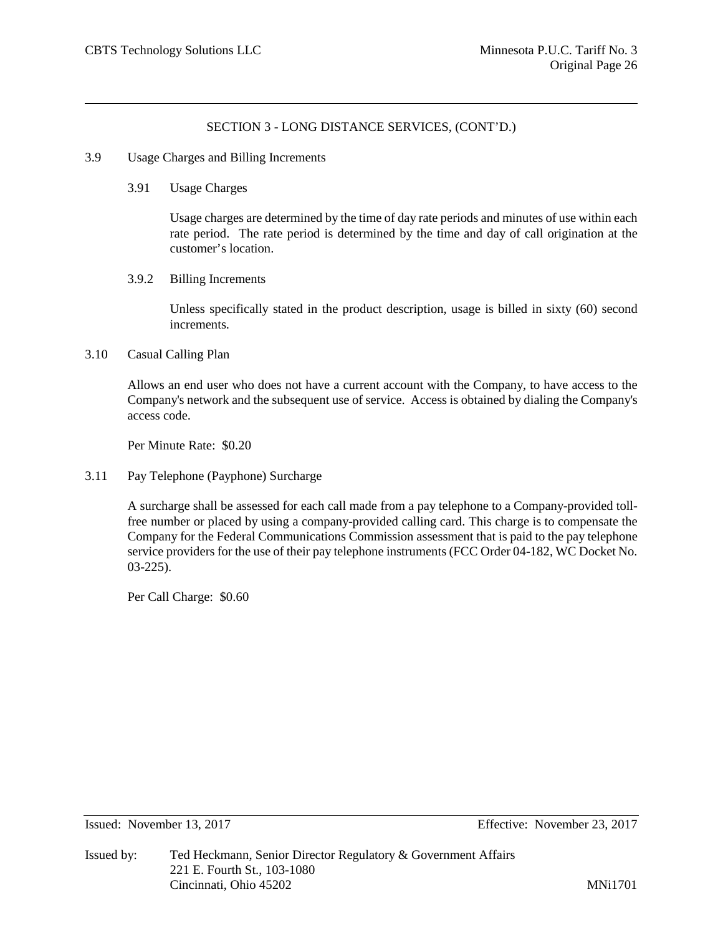#### 3.9 Usage Charges and Billing Increments

3.91 Usage Charges

Usage charges are determined by the time of day rate periods and minutes of use within each rate period. The rate period is determined by the time and day of call origination at the customer's location.

3.9.2 Billing Increments

Unless specifically stated in the product description, usage is billed in sixty (60) second increments.

#### 3.10 Casual Calling Plan

Allows an end user who does not have a current account with the Company, to have access to the Company's network and the subsequent use of service. Access is obtained by dialing the Company's access code.

Per Minute Rate: \$0.20

3.11 Pay Telephone (Payphone) Surcharge

A surcharge shall be assessed for each call made from a pay telephone to a Company-provided tollfree number or placed by using a company-provided calling card. This charge is to compensate the Company for the Federal Communications Commission assessment that is paid to the pay telephone service providers for the use of their pay telephone instruments (FCC Order 04-182, WC Docket No. 03-225).

Per Call Charge: \$0.60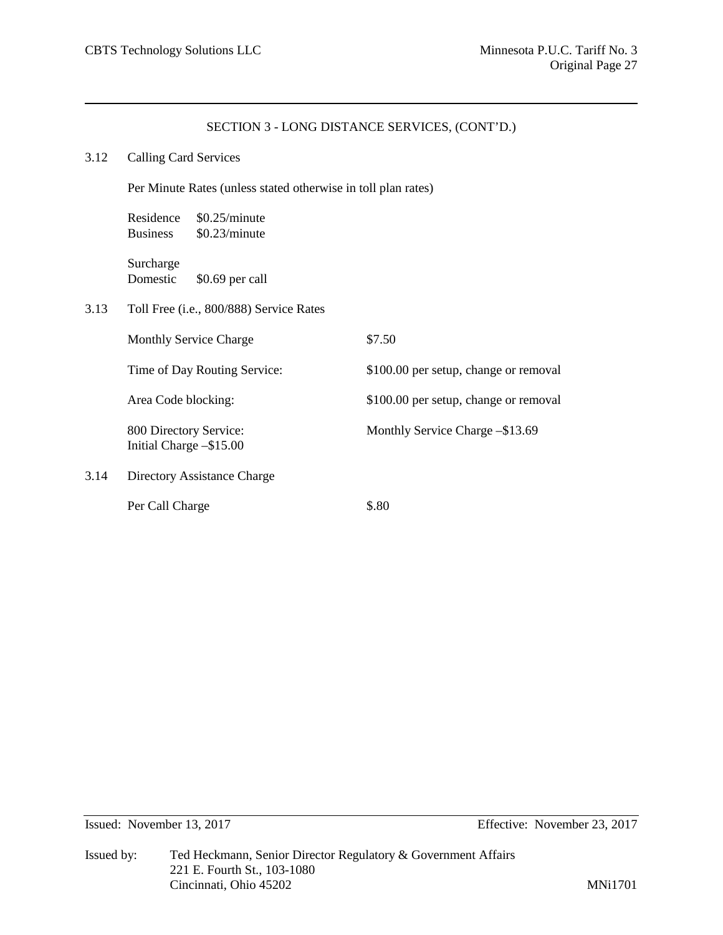## 3.12 Calling Card Services

Per Minute Rates (unless stated otherwise in toll plan rates)

Residence \$0.25/minute Business \$0.23/minute

Surcharge Domestic \$0.69 per call

3.13 Toll Free (i.e., 800/888) Service Rates

|      | <b>Monthly Service Charge</b>                     | \$7.50                                |
|------|---------------------------------------------------|---------------------------------------|
|      | Time of Day Routing Service:                      | \$100.00 per setup, change or removal |
|      | Area Code blocking:                               | \$100.00 per setup, change or removal |
|      | 800 Directory Service:<br>Initial Charge -\$15.00 | Monthly Service Charge -\$13.69       |
| 3.14 | Directory Assistance Charge                       |                                       |
|      | Per Call Charge                                   | \$.80                                 |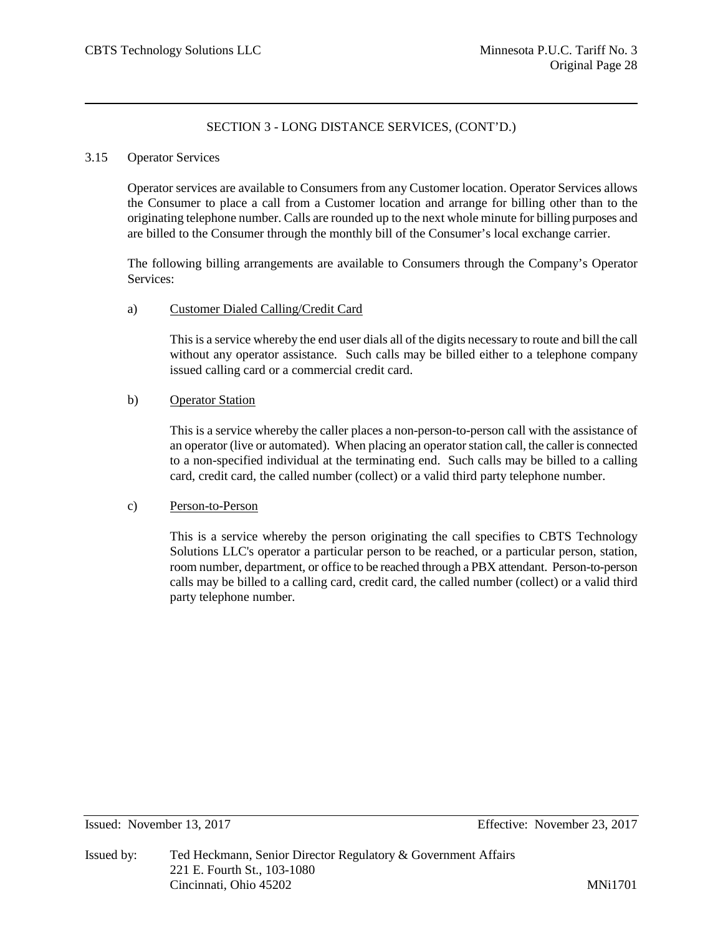#### 3.15 Operator Services

Operator services are available to Consumers from any Customer location. Operator Services allows the Consumer to place a call from a Customer location and arrange for billing other than to the originating telephone number. Calls are rounded up to the next whole minute for billing purposes and are billed to the Consumer through the monthly bill of the Consumer's local exchange carrier.

The following billing arrangements are available to Consumers through the Company's Operator Services:

#### a) Customer Dialed Calling/Credit Card

This is a service whereby the end user dials all of the digits necessary to route and bill the call without any operator assistance. Such calls may be billed either to a telephone company issued calling card or a commercial credit card.

## b) Operator Station

This is a service whereby the caller places a non-person-to-person call with the assistance of an operator (live or automated). When placing an operator station call, the caller is connected to a non-specified individual at the terminating end. Such calls may be billed to a calling card, credit card, the called number (collect) or a valid third party telephone number.

## c) Person-to-Person

This is a service whereby the person originating the call specifies to CBTS Technology Solutions LLC's operator a particular person to be reached, or a particular person, station, room number, department, or office to be reached through a PBX attendant. Person-to-person calls may be billed to a calling card, credit card, the called number (collect) or a valid third party telephone number.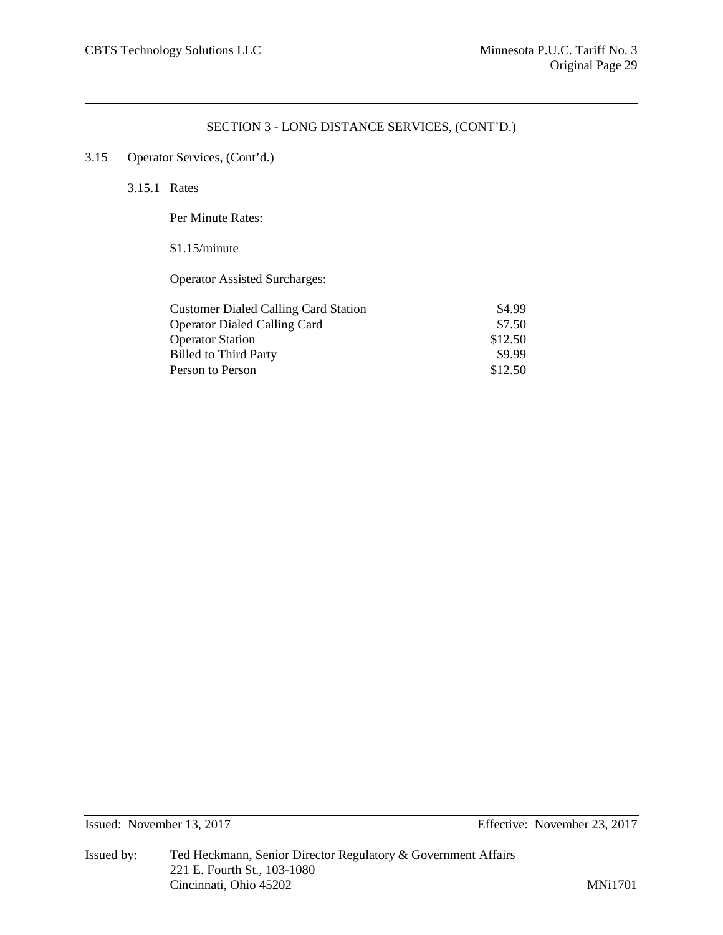# 3.15 Operator Services, (Cont'd.)

3.15.1 Rates

Per Minute Rates:

# \$1.15/minute

Operator Assisted Surcharges:

| <b>Customer Dialed Calling Card Station</b> | \$4.99  |
|---------------------------------------------|---------|
| <b>Operator Dialed Calling Card</b>         | \$7.50  |
| <b>Operator Station</b>                     | \$12.50 |
| <b>Billed to Third Party</b>                | \$9.99  |
| Person to Person                            | \$12.50 |
|                                             |         |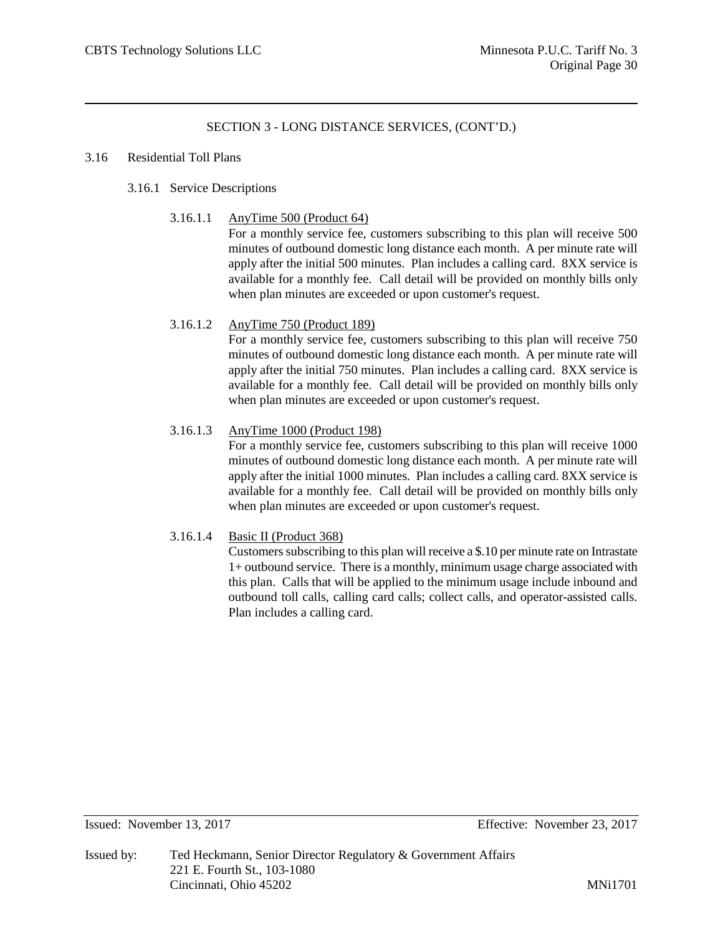#### 3.16 Residential Toll Plans

# 3.16.1 Service Descriptions

3.16.1.1 AnyTime 500 (Product 64)

For a monthly service fee, customers subscribing to this plan will receive 500 minutes of outbound domestic long distance each month. A per minute rate will apply after the initial 500 minutes. Plan includes a calling card. 8XX service is available for a monthly fee. Call detail will be provided on monthly bills only when plan minutes are exceeded or upon customer's request.

# 3.16.1.2 AnyTime 750 (Product 189)

For a monthly service fee, customers subscribing to this plan will receive 750 minutes of outbound domestic long distance each month. A per minute rate will apply after the initial 750 minutes. Plan includes a calling card. 8XX service is available for a monthly fee. Call detail will be provided on monthly bills only when plan minutes are exceeded or upon customer's request.

## 3.16.1.3 AnyTime 1000 (Product 198)

For a monthly service fee, customers subscribing to this plan will receive 1000 minutes of outbound domestic long distance each month. A per minute rate will apply after the initial 1000 minutes. Plan includes a calling card. 8XX service is available for a monthly fee. Call detail will be provided on monthly bills only when plan minutes are exceeded or upon customer's request.

## 3.16.1.4 Basic II (Product 368)

Customers subscribing to this plan will receive a \$.10 per minute rate on Intrastate 1+ outbound service. There is a monthly, minimum usage charge associated with this plan. Calls that will be applied to the minimum usage include inbound and outbound toll calls, calling card calls; collect calls, and operator-assisted calls. Plan includes a calling card.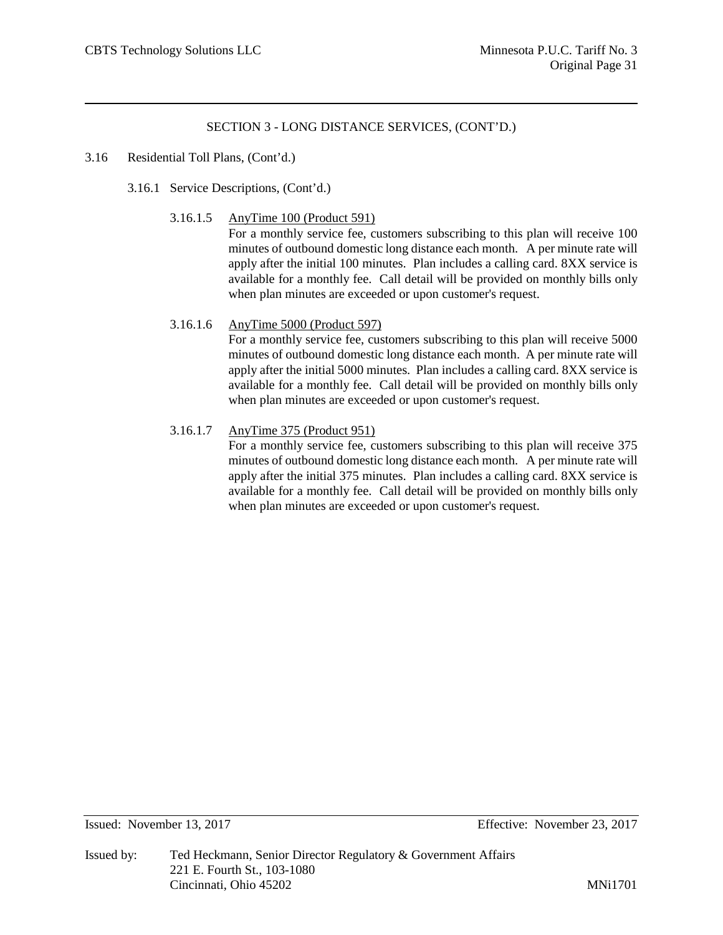#### 3.16 Residential Toll Plans, (Cont'd.)

- 3.16.1 Service Descriptions, (Cont'd.)
	- 3.16.1.5 AnyTime 100 (Product 591)

For a monthly service fee, customers subscribing to this plan will receive 100 minutes of outbound domestic long distance each month. A per minute rate will apply after the initial 100 minutes. Plan includes a calling card. 8XX service is available for a monthly fee. Call detail will be provided on monthly bills only when plan minutes are exceeded or upon customer's request.

#### 3.16.1.6 AnyTime 5000 (Product 597)

For a monthly service fee, customers subscribing to this plan will receive 5000 minutes of outbound domestic long distance each month. A per minute rate will apply after the initial 5000 minutes. Plan includes a calling card. 8XX service is available for a monthly fee. Call detail will be provided on monthly bills only when plan minutes are exceeded or upon customer's request.

## 3.16.1.7 AnyTime 375 (Product 951)

For a monthly service fee, customers subscribing to this plan will receive 375 minutes of outbound domestic long distance each month. A per minute rate will apply after the initial 375 minutes. Plan includes a calling card. 8XX service is available for a monthly fee. Call detail will be provided on monthly bills only when plan minutes are exceeded or upon customer's request.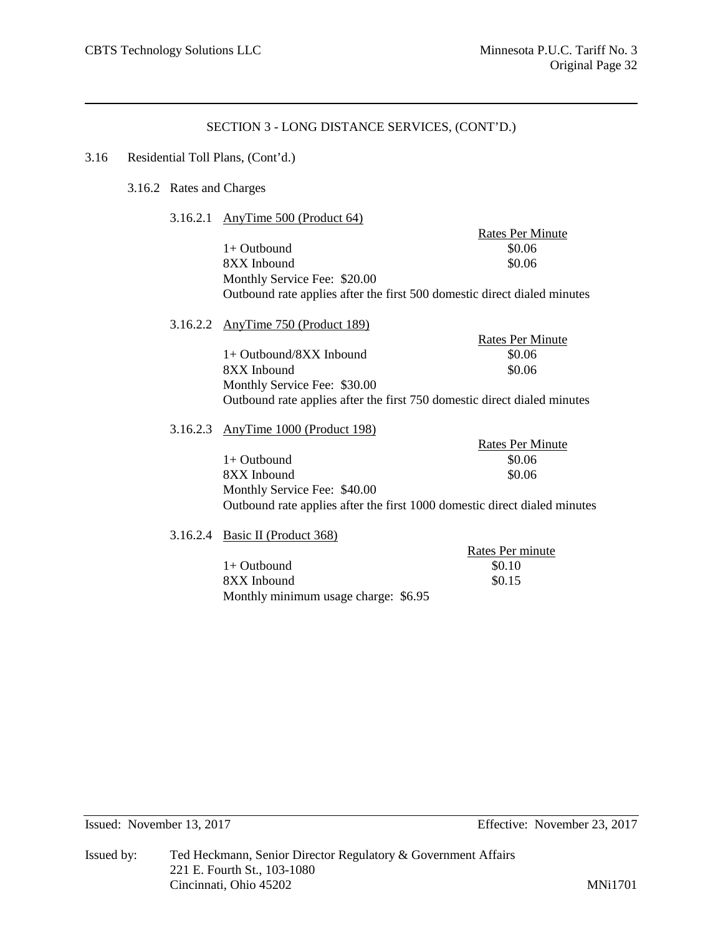Rates Per Minute

# SECTION 3 - LONG DISTANCE SERVICES, (CONT'D.)

# 3.16 Residential Toll Plans, (Cont'd.)

### 3.16.2 Rates and Charges

3.16.2.1 AnyTime 500 (Product 64)

|                                                                          | <b>Rates Per Minute</b> |
|--------------------------------------------------------------------------|-------------------------|
| $1+$ Outbound                                                            | \$0.06                  |
| 8XX Inbound                                                              | \$0.06                  |
| Monthly Service Fee: \$20.00                                             |                         |
| Outbound rate applies after the first 500 domestic direct dialed minutes |                         |
|                                                                          |                         |

3.16.2.2 AnyTime 750 (Product 189)

| $1+$ Outbound/8XX Inbound                                                | \$0.06 |
|--------------------------------------------------------------------------|--------|
| 8XX Inbound                                                              | \$0.06 |
| Monthly Service Fee: \$30.00                                             |        |
| Outbound rate applies after the first 750 domestic direct dialed minutes |        |

# 3.16.2.3 AnyTime 1000 (Product 198)

|                                                                           | <b>Rates Per Minute</b> |
|---------------------------------------------------------------------------|-------------------------|
| $1+$ Outbound                                                             | \$0.06                  |
| 8XX Inbound                                                               | \$0.06                  |
| Monthly Service Fee: \$40.00                                              |                         |
| Outbound rate applies after the first 1000 domestic direct dialed minutes |                         |

3.16.2.4 Basic II (Product 368)

|                                      | Rates Per minute |
|--------------------------------------|------------------|
| $1+$ Outbound                        | \$0.10           |
| 8XX Inbound                          | \$0.15           |
| Monthly minimum usage charge: \$6.95 |                  |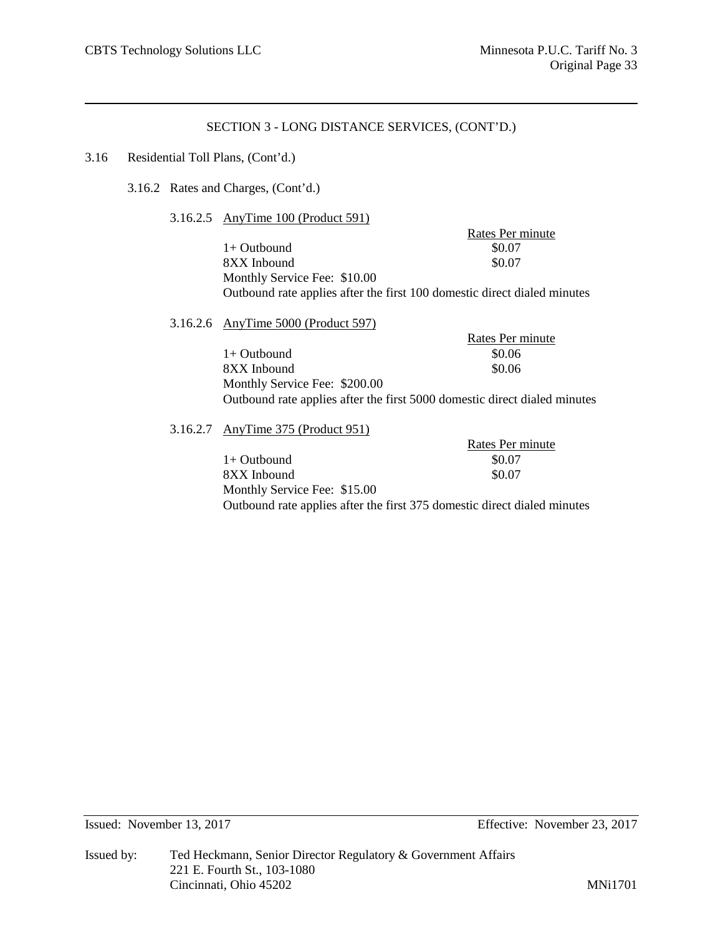#### 3.16 Residential Toll Plans, (Cont'd.)

3.16.2 Rates and Charges, (Cont'd.)

3.16.2.5 AnyTime 100 (Product 591)

Rates Per minute 1+ Outbound \$0.07<br>8XX Inbound \$0.07 8XX Inbound Monthly Service Fee: \$10.00 Outbound rate applies after the first 100 domestic direct dialed minutes

3.16.2.6 AnyTime 5000 (Product 597) Rates Per minute  $1+$  Outbound  $$0.06$  $8XX$  Inbound  $$0.06$ Monthly Service Fee: \$200.00 Outbound rate applies after the first 5000 domestic direct dialed minutes 3.16.2.7 AnyTime 375 (Product 951)

> Rates Per minute  $1+$  Outbound  $$0.07$ 8XX Inbound \$0.07 Monthly Service Fee: \$15.00 Outbound rate applies after the first 375 domestic direct dialed minutes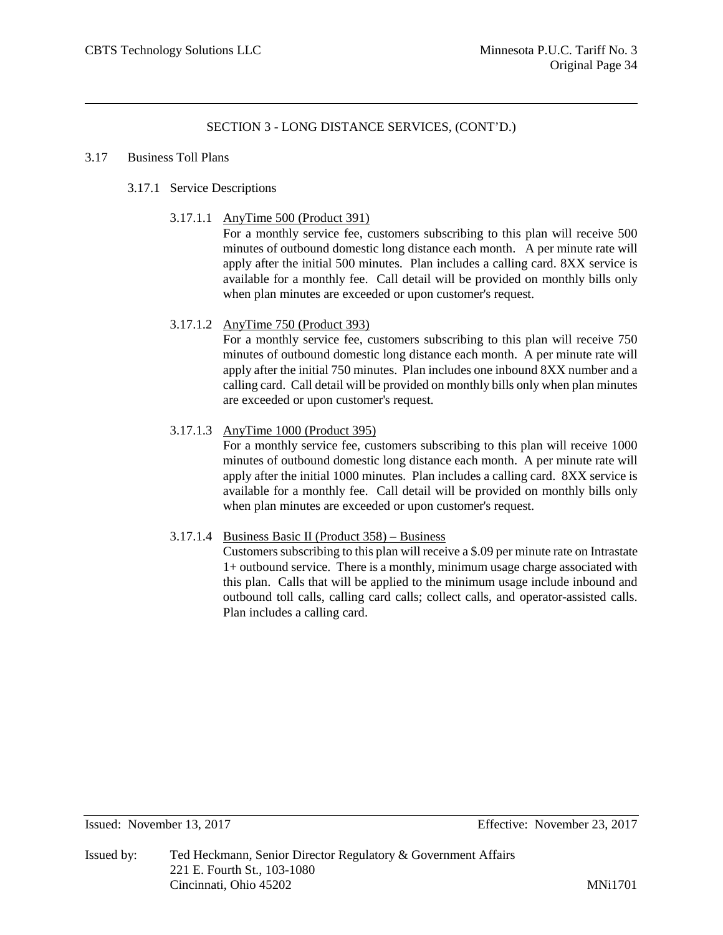#### 3.17 Business Toll Plans

# 3.17.1 Service Descriptions

3.17.1.1 AnyTime 500 (Product 391)

For a monthly service fee, customers subscribing to this plan will receive 500 minutes of outbound domestic long distance each month. A per minute rate will apply after the initial 500 minutes. Plan includes a calling card. 8XX service is available for a monthly fee. Call detail will be provided on monthly bills only when plan minutes are exceeded or upon customer's request.

# 3.17.1.2 AnyTime 750 (Product 393)

For a monthly service fee, customers subscribing to this plan will receive 750 minutes of outbound domestic long distance each month. A per minute rate will apply after the initial 750 minutes. Plan includes one inbound 8XX number and a calling card. Call detail will be provided on monthly bills only when plan minutes are exceeded or upon customer's request.

# 3.17.1.3 AnyTime 1000 (Product 395)

For a monthly service fee, customers subscribing to this plan will receive 1000 minutes of outbound domestic long distance each month. A per minute rate will apply after the initial 1000 minutes. Plan includes a calling card. 8XX service is available for a monthly fee. Call detail will be provided on monthly bills only when plan minutes are exceeded or upon customer's request.

## 3.17.1.4 Business Basic II (Product 358) – Business

Customers subscribing to this plan will receive a \$.09 per minute rate on Intrastate 1+ outbound service. There is a monthly, minimum usage charge associated with this plan. Calls that will be applied to the minimum usage include inbound and outbound toll calls, calling card calls; collect calls, and operator-assisted calls. Plan includes a calling card.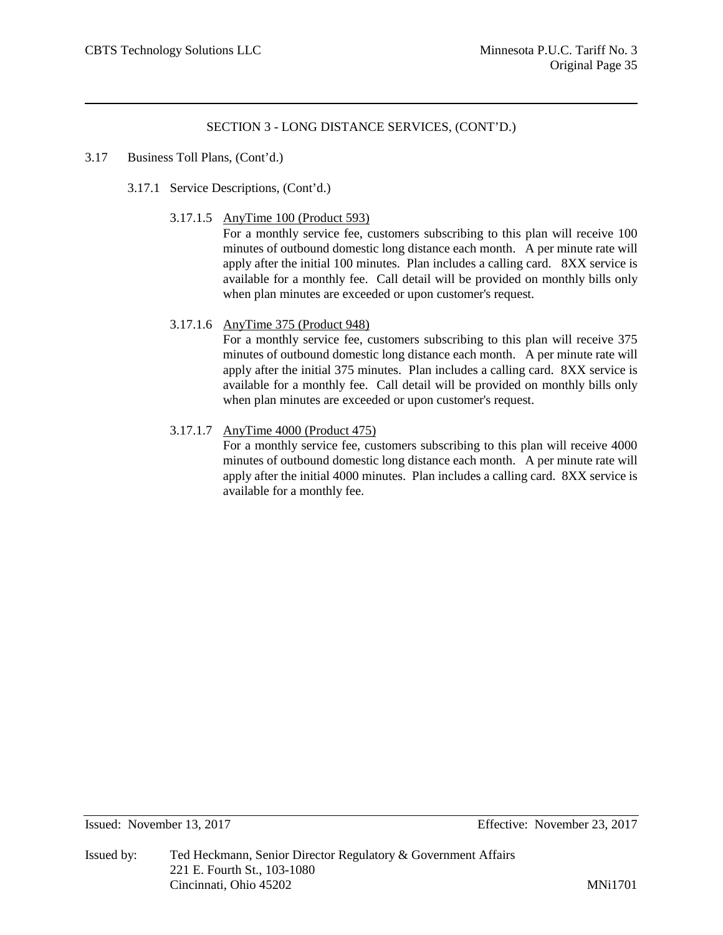#### 3.17 Business Toll Plans, (Cont'd.)

- 3.17.1 Service Descriptions, (Cont'd.)
	- 3.17.1.5 AnyTime 100 (Product 593)

For a monthly service fee, customers subscribing to this plan will receive 100 minutes of outbound domestic long distance each month. A per minute rate will apply after the initial 100 minutes. Plan includes a calling card. 8XX service is available for a monthly fee. Call detail will be provided on monthly bills only when plan minutes are exceeded or upon customer's request.

#### 3.17.1.6 AnyTime 375 (Product 948)

For a monthly service fee, customers subscribing to this plan will receive 375 minutes of outbound domestic long distance each month. A per minute rate will apply after the initial 375 minutes. Plan includes a calling card. 8XX service is available for a monthly fee. Call detail will be provided on monthly bills only when plan minutes are exceeded or upon customer's request.

## 3.17.1.7 AnyTime 4000 (Product 475)

For a monthly service fee, customers subscribing to this plan will receive 4000 minutes of outbound domestic long distance each month. A per minute rate will apply after the initial 4000 minutes. Plan includes a calling card. 8XX service is available for a monthly fee.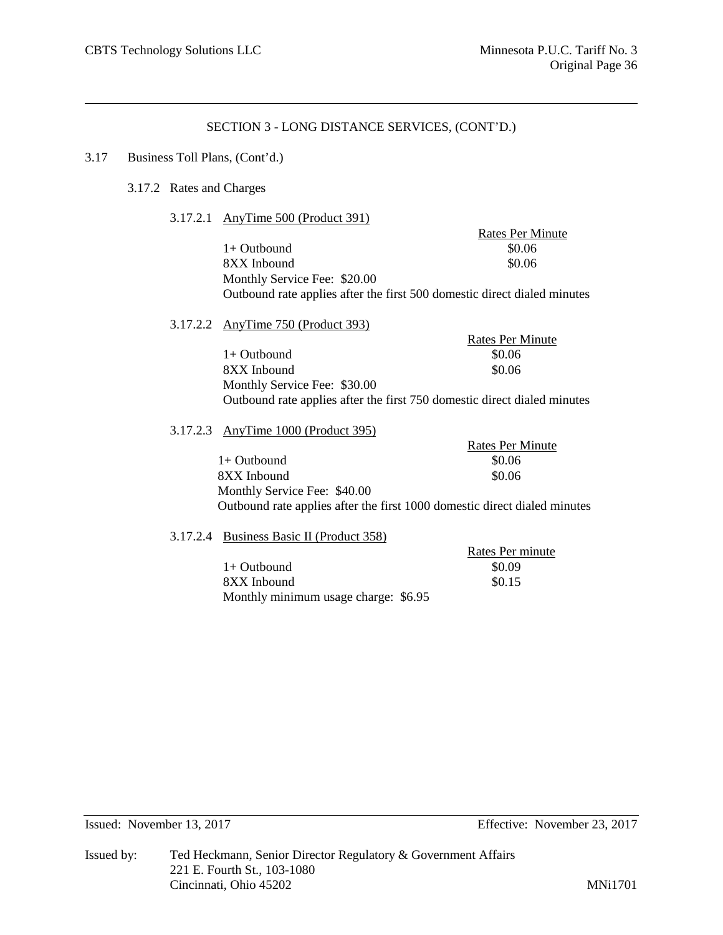#### 3.17 Business Toll Plans, (Cont'd.)

- 3.17.2 Rates and Charges
	- 3.17.2.1 AnyTime 500 (Product 391)

Rates Per Minute  $1+$  Outbound  $$0.06$ 8XX Inbound \$0.06 Monthly Service Fee: \$20.00 Outbound rate applies after the first 500 domestic direct dialed minutes

3.17.2.2 AnyTime 750 (Product 393)

Rates Per Minute  $1+$  Outbound  $$0.06$ 8XX Inbound \$0.06 Monthly Service Fee: \$30.00 Outbound rate applies after the first 750 domestic direct dialed minutes

#### 3.17.2.3 AnyTime 1000 (Product 395)

Rates Per Minute  $1+$  Outbound  $$0.06$ 8XX Inbound \$0.06 Monthly Service Fee: \$40.00 Outbound rate applies after the first 1000 domestic direct dialed minutes

#### 3.17.2.4 Business Basic II (Product 358)

Rates Per minute  $1+$  Outbound  $$0.09$  $8XX$  Inbound  $80.15$ Monthly minimum usage charge: \$6.95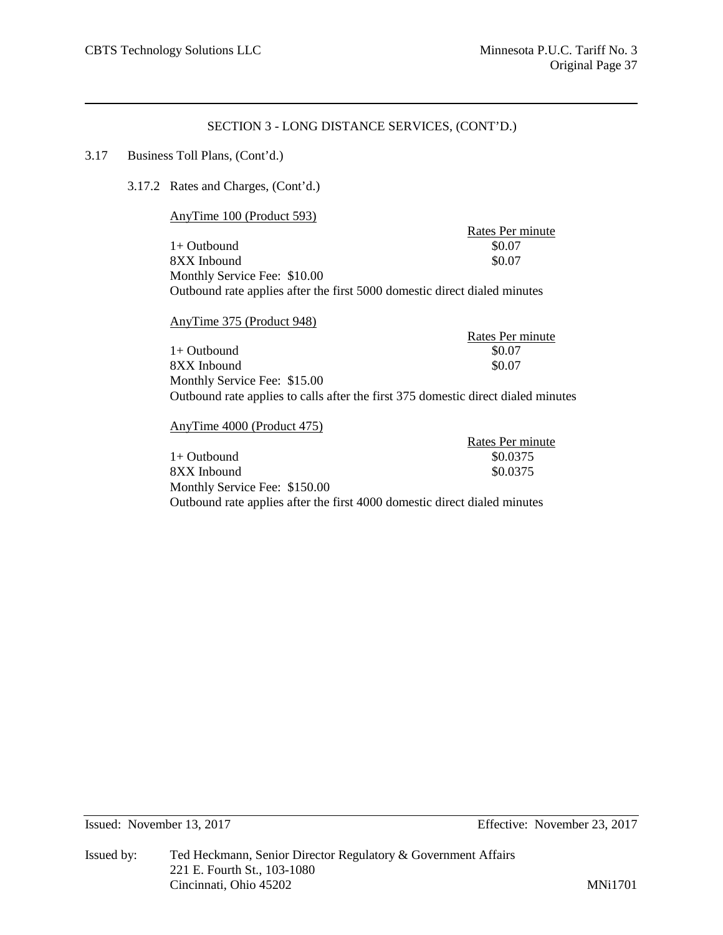## 3.17 Business Toll Plans, (Cont'd.)

3.17.2 Rates and Charges, (Cont'd.)

AnyTime 100 (Product 593)

Rates Per minute<br>\$0.07 1+ Outbound \$0.07<br>8XX Inbound \$0.07 8XX Inbound Monthly Service Fee: \$10.00 Outbound rate applies after the first 5000 domestic direct dialed minutes

| AnyTime 375 (Product 948)                                                         |                  |
|-----------------------------------------------------------------------------------|------------------|
|                                                                                   | Rates Per minute |
| $1+$ Outbound                                                                     | \$0.07           |
| 8XX Inbound                                                                       | \$0.07           |
| Monthly Service Fee: \$15.00                                                      |                  |
| Outbound rate applies to calls after the first 375 domestic direct dialed minutes |                  |

AnyTime 4000 (Product 475)

|                                                                           | Rates Per minute |
|---------------------------------------------------------------------------|------------------|
| 1+ Outbound                                                               | \$0.0375         |
| 8XX Inbound                                                               | \$0.0375         |
| Monthly Service Fee: \$150.00                                             |                  |
| Outbound rate applies after the first 4000 domestic direct dialed minutes |                  |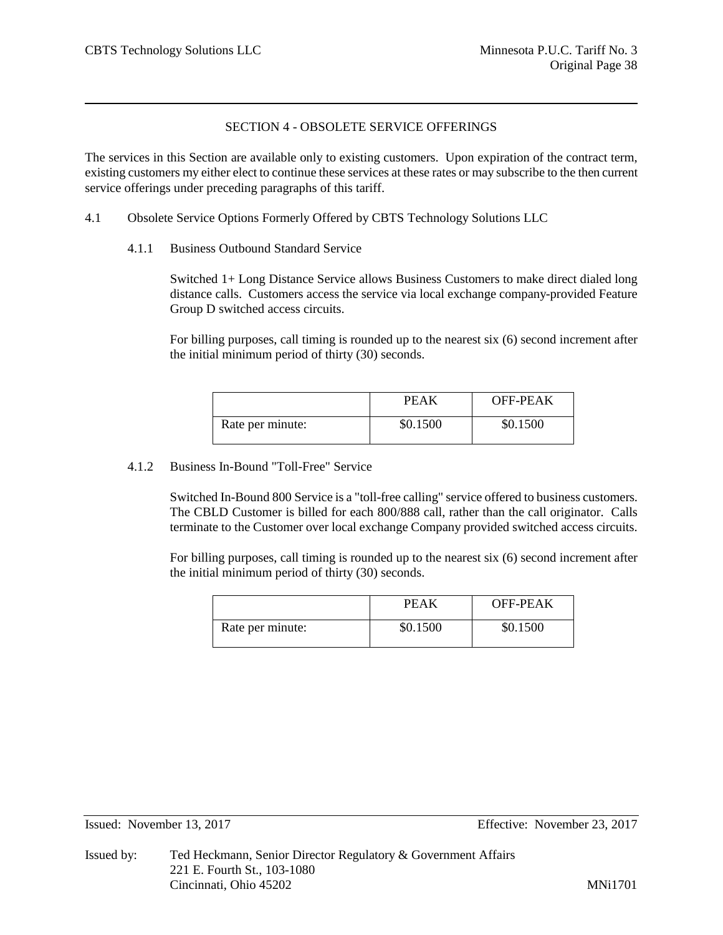# SECTION 4 - OBSOLETE SERVICE OFFERINGS

The services in this Section are available only to existing customers. Upon expiration of the contract term, existing customers my either elect to continue these services at these rates or may subscribe to the then current service offerings under preceding paragraphs of this tariff.

- 4.1 Obsolete Service Options Formerly Offered by CBTS Technology Solutions LLC
	- 4.1.1 Business Outbound Standard Service

Switched 1+ Long Distance Service allows Business Customers to make direct dialed long distance calls. Customers access the service via local exchange company-provided Feature Group D switched access circuits.

For billing purposes, call timing is rounded up to the nearest six (6) second increment after the initial minimum period of thirty (30) seconds.

|                  | PEAK     | <b>OFF-PEAK</b> |
|------------------|----------|-----------------|
| Rate per minute: | \$0.1500 | \$0.1500        |

## 4.1.2 Business In-Bound "Toll-Free" Service

Switched In-Bound 800 Service is a "toll-free calling" service offered to business customers. The CBLD Customer is billed for each 800/888 call, rather than the call originator. Calls terminate to the Customer over local exchange Company provided switched access circuits.

For billing purposes, call timing is rounded up to the nearest six (6) second increment after the initial minimum period of thirty (30) seconds.

|                  | PEAK     | OFF-PEAK |
|------------------|----------|----------|
| Rate per minute: | \$0.1500 | \$0.1500 |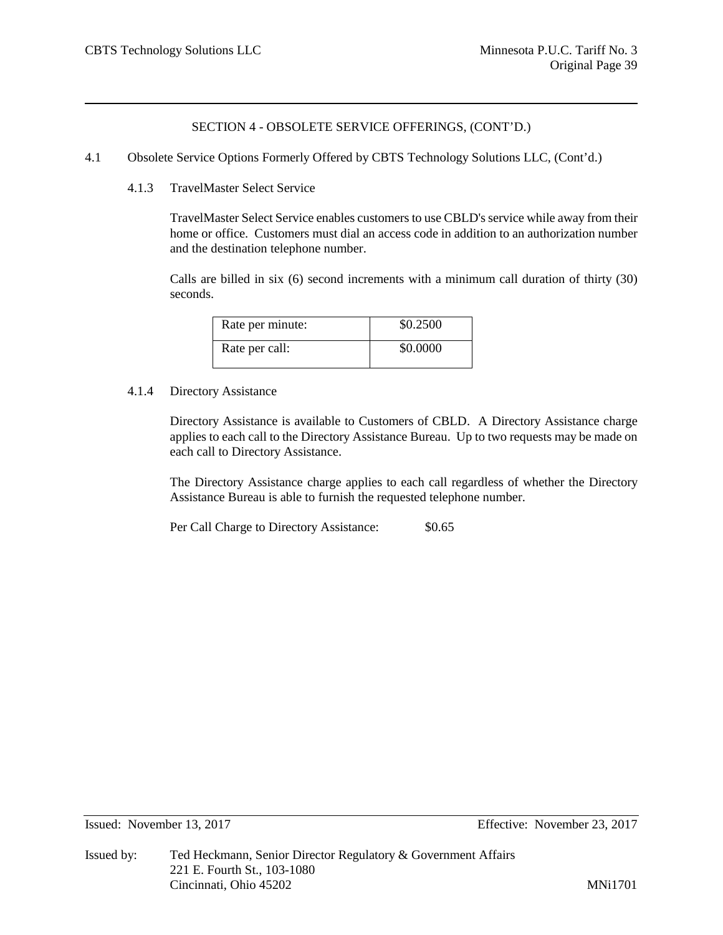- 4.1 Obsolete Service Options Formerly Offered by CBTS Technology Solutions LLC, (Cont'd.)
	- 4.1.3 TravelMaster Select Service

TravelMaster Select Service enables customers to use CBLD's service while away from their home or office. Customers must dial an access code in addition to an authorization number and the destination telephone number.

Calls are billed in six (6) second increments with a minimum call duration of thirty (30) seconds.

| Rate per minute: | \$0.2500 |
|------------------|----------|
| Rate per call:   | \$0.0000 |

## 4.1.4 Directory Assistance

Directory Assistance is available to Customers of CBLD. A Directory Assistance charge applies to each call to the Directory Assistance Bureau. Up to two requests may be made on each call to Directory Assistance.

The Directory Assistance charge applies to each call regardless of whether the Directory Assistance Bureau is able to furnish the requested telephone number.

Per Call Charge to Directory Assistance:  $$0.65$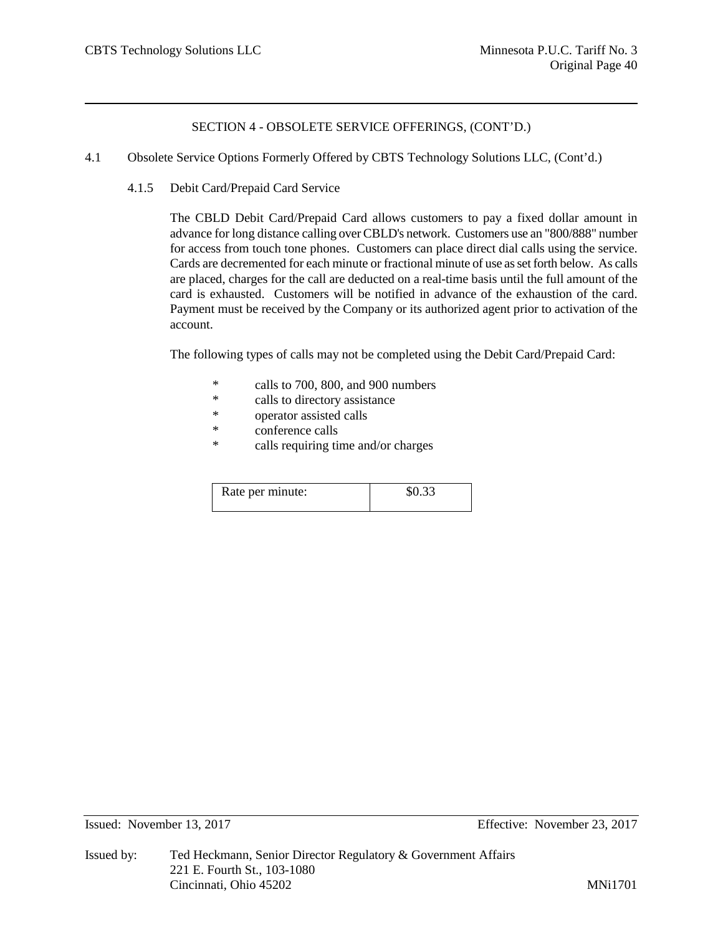- 4.1 Obsolete Service Options Formerly Offered by CBTS Technology Solutions LLC, (Cont'd.)
	- 4.1.5 Debit Card/Prepaid Card Service

The CBLD Debit Card/Prepaid Card allows customers to pay a fixed dollar amount in advance for long distance calling over CBLD's network. Customers use an "800/888" number for access from touch tone phones. Customers can place direct dial calls using the service. Cards are decremented for each minute or fractional minute of use as set forth below. As calls are placed, charges for the call are deducted on a real-time basis until the full amount of the card is exhausted. Customers will be notified in advance of the exhaustion of the card. Payment must be received by the Company or its authorized agent prior to activation of the account.

The following types of calls may not be completed using the Debit Card/Prepaid Card:

- \* calls to 700, 800, and 900 numbers
- \* calls to directory assistance
- \* operator assisted calls
- \* conference calls<br>\* calls requiring times
- calls requiring time and/or charges

| Rate per minute: | \$0.33 |
|------------------|--------|
|                  |        |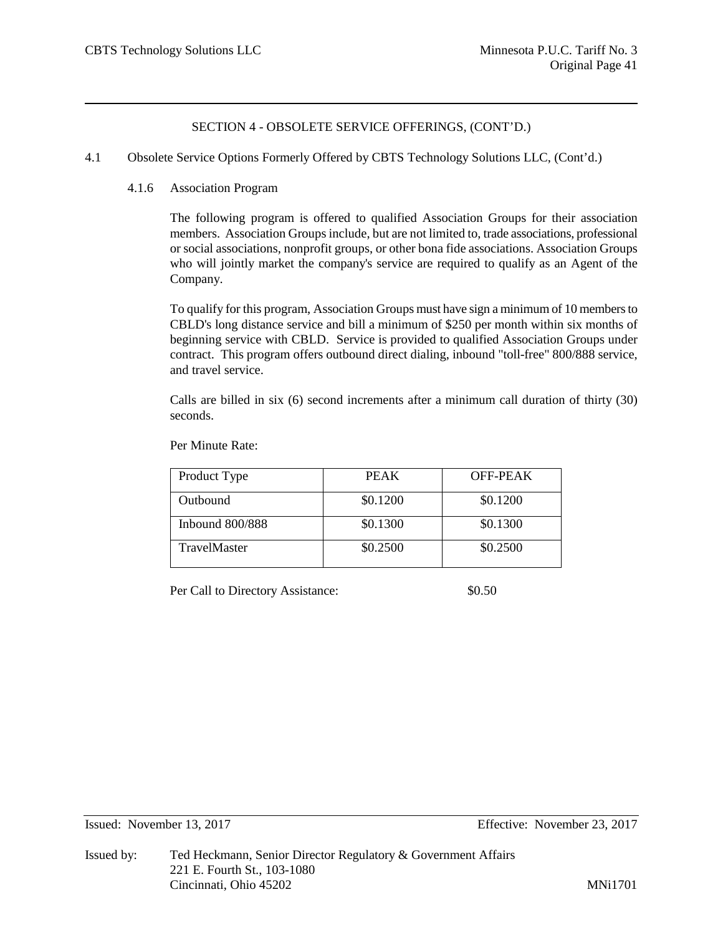4.1 Obsolete Service Options Formerly Offered by CBTS Technology Solutions LLC, (Cont'd.)

## 4.1.6 Association Program

The following program is offered to qualified Association Groups for their association members. Association Groups include, but are not limited to, trade associations, professional or social associations, nonprofit groups, or other bona fide associations. Association Groups who will jointly market the company's service are required to qualify as an Agent of the Company.

To qualify for this program, Association Groups must have sign a minimum of 10 members to CBLD's long distance service and bill a minimum of \$250 per month within six months of beginning service with CBLD. Service is provided to qualified Association Groups under contract. This program offers outbound direct dialing, inbound "toll-free" 800/888 service, and travel service.

Calls are billed in six (6) second increments after a minimum call duration of thirty (30) seconds.

| Product Type        | <b>PEAK</b> | OFF-PEAK |
|---------------------|-------------|----------|
| Outbound            | \$0.1200    | \$0.1200 |
| Inbound $800/888$   | \$0.1300    | \$0.1300 |
| <b>TravelMaster</b> | \$0.2500    | \$0.2500 |

Per Minute Rate:

Per Call to Directory Assistance:  $$0.50$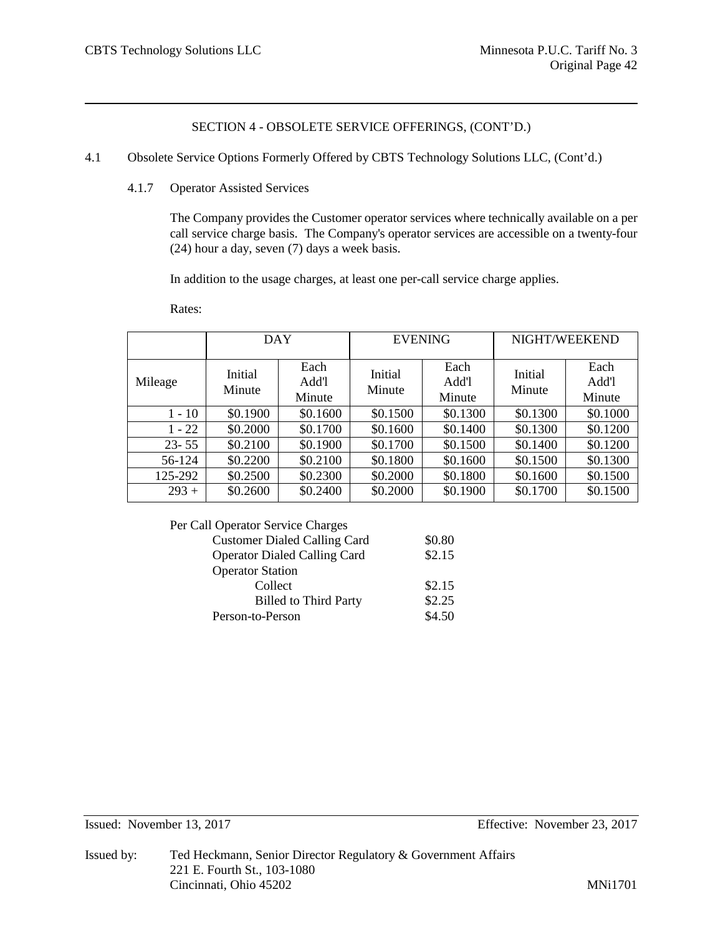- 4.1 Obsolete Service Options Formerly Offered by CBTS Technology Solutions LLC, (Cont'd.)
	- 4.1.7 Operator Assisted Services

The Company provides the Customer operator services where technically available on a per call service charge basis. The Company's operator services are accessible on a twenty-four (24) hour a day, seven (7) days a week basis.

In addition to the usage charges, at least one per-call service charge applies.

Rates:

|           | DAY               |                         |                   | <b>EVENING</b>          | NIGHT/WEEKEND     |                         |
|-----------|-------------------|-------------------------|-------------------|-------------------------|-------------------|-------------------------|
| Mileage   | Initial<br>Minute | Each<br>Add'l<br>Minute | Initial<br>Minute | Each<br>Add'l<br>Minute | Initial<br>Minute | Each<br>Add'l<br>Minute |
| $1 - 10$  | \$0.1900          | \$0.1600                | \$0.1500          | \$0.1300                | \$0.1300          | \$0.1000                |
| $1 - 22$  | \$0.2000          | \$0.1700                | \$0.1600          | \$0.1400                | \$0.1300          | \$0.1200                |
| $23 - 55$ | \$0.2100          | \$0.1900                | \$0.1700          | \$0.1500                | \$0.1400          | \$0.1200                |
| 56-124    | \$0.2200          | \$0.2100                | \$0.1800          | \$0.1600                | \$0.1500          | \$0.1300                |
| 125-292   | \$0.2500          | \$0.2300                | \$0.2000          | \$0.1800                | \$0.1600          | \$0.1500                |
| $293 +$   | \$0.2600          | \$0.2400                | \$0.2000          | \$0.1900                | \$0.1700          | \$0.1500                |

Per Call Operator Service Charges

| <b>Customer Dialed Calling Card</b> | \$0.80 |
|-------------------------------------|--------|
| <b>Operator Dialed Calling Card</b> | \$2.15 |
| <b>Operator Station</b>             |        |
| Collect                             | \$2.15 |
| <b>Billed to Third Party</b>        | \$2.25 |
| Person-to-Person                    | \$4.50 |
|                                     |        |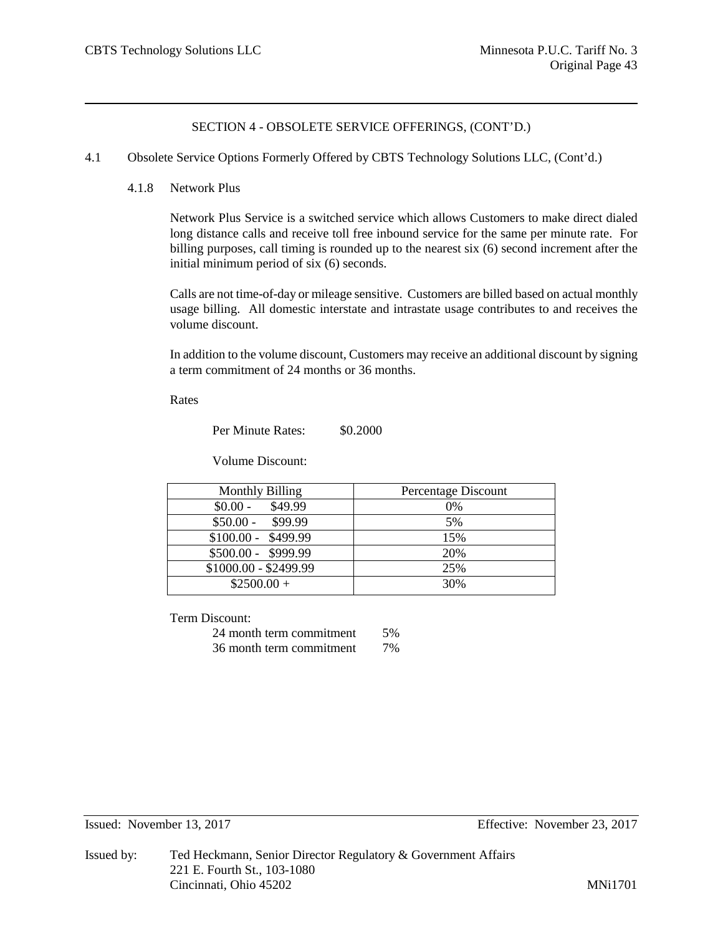#### 4.1 Obsolete Service Options Formerly Offered by CBTS Technology Solutions LLC, (Cont'd.)

#### 4.1.8 Network Plus

Network Plus Service is a switched service which allows Customers to make direct dialed long distance calls and receive toll free inbound service for the same per minute rate. For billing purposes, call timing is rounded up to the nearest six (6) second increment after the initial minimum period of six (6) seconds.

Calls are not time-of-day or mileage sensitive. Customers are billed based on actual monthly usage billing. All domestic interstate and intrastate usage contributes to and receives the volume discount.

In addition to the volume discount, Customers may receive an additional discount by signing a term commitment of 24 months or 36 months.

Rates

Per Minute Rates:  $$0,2000$ 

Volume Discount:

| <b>Monthly Billing</b> | Percentage Discount |
|------------------------|---------------------|
| \$49.99<br>$$0.00 -$   | 0%                  |
| $$50.00 - $99.99$      | 5%                  |
| $$100.00 - $499.99$    | 15%                 |
| $$500.00 - $999.99$    | 20%                 |
| \$1000.00 - \$2499.99  | 25%                 |
| $$2500.00+$            | 30%                 |

Term Discount:

| 24 month term commitment | .5% |
|--------------------------|-----|
| 36 month term commitment | 7%  |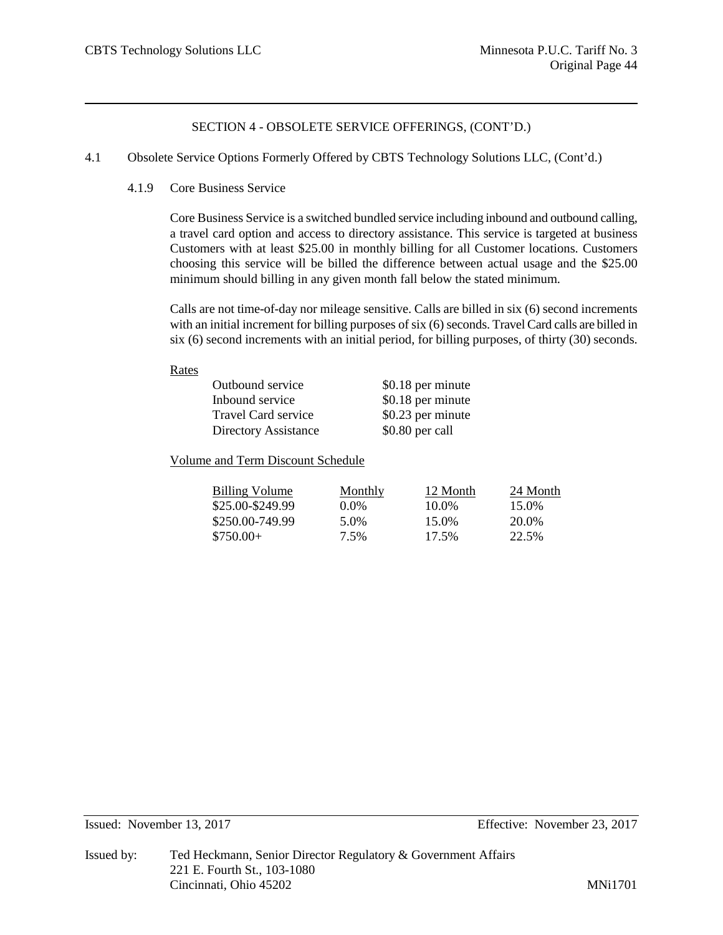- 4.1 Obsolete Service Options Formerly Offered by CBTS Technology Solutions LLC, (Cont'd.)
	- 4.1.9 Core Business Service

Core Business Service is a switched bundled service including inbound and outbound calling, a travel card option and access to directory assistance. This service is targeted at business Customers with at least \$25.00 in monthly billing for all Customer locations. Customers choosing this service will be billed the difference between actual usage and the \$25.00 minimum should billing in any given month fall below the stated minimum.

Calls are not time-of-day nor mileage sensitive. Calls are billed in six (6) second increments with an initial increment for billing purposes of six (6) seconds. Travel Card calls are billed in six (6) second increments with an initial period, for billing purposes, of thirty (30) seconds.

#### Rates

| Outbound service            | \$0.18 per minute |
|-----------------------------|-------------------|
| Inbound service             | \$0.18 per minute |
| Travel Card service         | \$0.23 per minute |
| <b>Directory Assistance</b> | \$0.80 per call   |

Volume and Term Discount Schedule

| Billing Volume   | Monthly | 12 Month | 24 Month |
|------------------|---------|----------|----------|
| \$25.00-\$249.99 | $0.0\%$ | 10.0%    | 15.0%    |
| \$250.00-749.99  | 5.0%    | 15.0%    | 20.0%    |
| $$750.00+$       | 7.5%    | 17.5%    | 22.5%    |